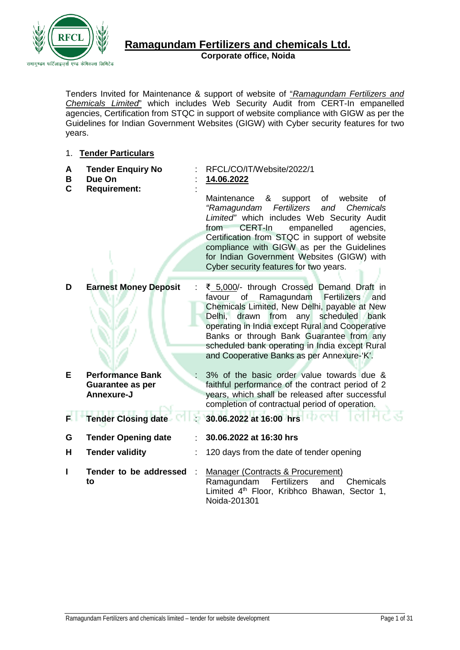

#### **Ramagundam Fertilizers and chemicals Ltd. Corporate office, Noida**

Tenders Invited for Maintenance & support of website of "*Ramagundam Fertilizers and Chemicals Limited*" which includes Web Security Audit from CERT-In empanelled agencies, Certification from STQC in support of website compliance with GIGW as per the Guidelines for Indian Government Websites (GIGW) with Cyber security features for two years.

#### 1. **Tender Particulars**

| A<br>Β<br>$\mathbf C$ | <b>Tender Enquiry No</b><br>Due On<br><b>Requirement:</b> | RFCL/CO/IT/Website/2022/1<br>14.06.2022<br>&<br>Maintenance<br>support<br>website<br>of<br>οf<br>Fertilizers<br><b>Chemicals</b><br>"Ramagundam<br>and<br>Limited" which includes Web Security Audit<br>CERT-In<br>empanelled<br>from<br>agencies,<br>Certification from STQC in support of website<br>compliance with GIGW as per the Guidelines<br>for Indian Government Websites (GIGW) with |
|-----------------------|-----------------------------------------------------------|-------------------------------------------------------------------------------------------------------------------------------------------------------------------------------------------------------------------------------------------------------------------------------------------------------------------------------------------------------------------------------------------------|
|                       |                                                           | Cyber security features for two years.                                                                                                                                                                                                                                                                                                                                                          |
| D                     | <b>Earnest Money Deposit</b>                              | ₹ 5,000/- through Crossed Demand Draft in<br>Ramagundam<br>favour<br>of<br>Fertilizers<br>and<br>Chemicals Limited, New Delhi, payable at New<br>Delhi, drawn from any<br>scheduled<br>bank<br>operating in India except Rural and Cooperative<br>Banks or through Bank Guarantee from any<br>scheduled bank operating in India except Rural<br>and Cooperative Banks as per Annexure-'K'.      |
| E                     | <b>Performance Bank</b>                                   | 3% of the basic order value towards due &                                                                                                                                                                                                                                                                                                                                                       |
|                       | <b>Guarantee as per</b><br>Annexure-J                     | faithful performance of the contract period of 2<br>years, which shall be released after successful                                                                                                                                                                                                                                                                                             |
|                       |                                                           | completion of contractual period of operation.                                                                                                                                                                                                                                                                                                                                                  |
| к.                    | <b>Tender Closing date</b>                                | 30.06.2022 at 16:00 hrs <b>Patroll 1944</b>                                                                                                                                                                                                                                                                                                                                                     |
| G                     | <b>Tender Opening date</b>                                | 30.06.2022 at 16:30 hrs                                                                                                                                                                                                                                                                                                                                                                         |
| н                     | <b>Tender validity</b>                                    | 120 days from the date of tender opening                                                                                                                                                                                                                                                                                                                                                        |
| I                     | Tender to be addressed<br>to                              | Manager (Contracts & Procurement)<br>Ramagundam<br>Fertilizers<br>Chemicals<br>and<br>Limited 4 <sup>th</sup> Floor, Kribhco Bhawan, Sector 1,<br>Noida-201301                                                                                                                                                                                                                                  |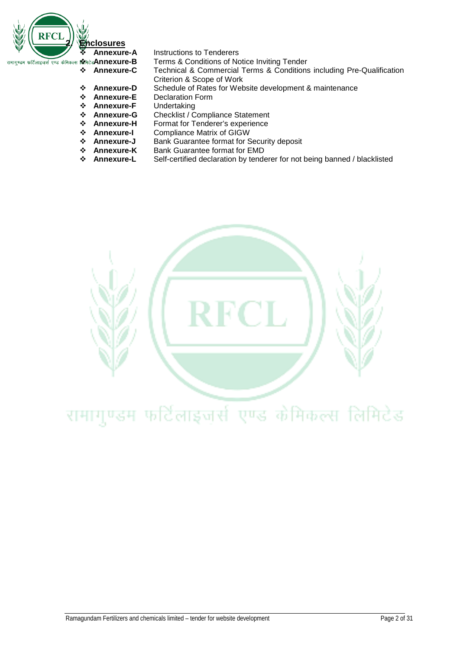

- **Annexure-B** Terms & Conditions of Notice Inviting Tender<br>**Annexure-C** Technical & Commercial Terms & Conditions
- **Annexure-C** Technical & Commercial Terms & Conditions including Pre-Qualification Criterion & Scope of Work
- **↑ Annexure-D** Schedule of Rates for Website development & maintenance<br>◆ Annexure-E Declaration Form
- **↑ Annexure-E** Declaration Form<br>**↑ Annexure-F** Undertaking
- **→ Annexure-F**<br>→ Annexure-G
- **↑ Annexure-G** Checklist / Compliance Statement<br>**↑ Annexure-H** Format for Tenderer's experience
- **External Annexure-H** Format for Tenderer's experience<br>**↑ Annexure-I** Compliance Matrix of GIGW
- **Annexure-I** Compliance Matrix of GIGW<br>**☆ Annexure-J** Bank Guarantee format for S
- **External Annexure-J** Bank Guarantee format for Security deposit<br>**☆ Annexure-K** Bank Guarantee format for EMD
- **↑ Annexure-K** Bank Guarantee format for EMD<br>**↑ Annexure-L** Self-certified declaration by tende
	- Self-certified declaration by tenderer for not being banned / blacklisted

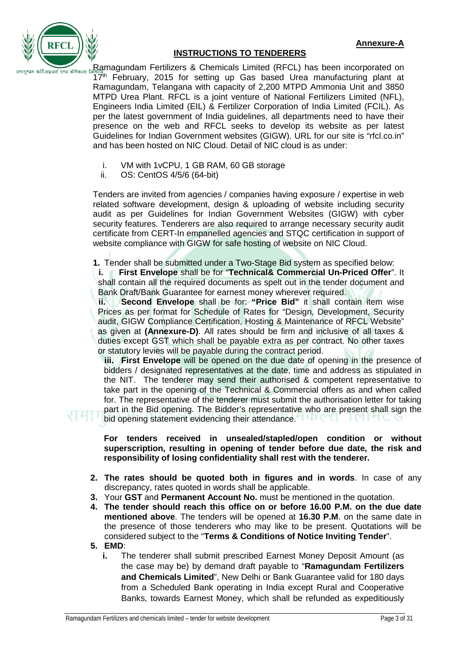



#### **INSTRUCTIONS TO TENDERERS**

Ramagundam Fertilizers & Chemicals Limited (RFCL) has been incorporated on 17<sup>th</sup> February, 2015 for setting up Gas based Urea manufacturing plant at Ramagundam, Telangana with capacity of 2,200 MTPD Ammonia Unit and 3850 MTPD Urea Plant. RFCL is a joint venture of National Fertilizers Limited (NFL), Engineers India Limited (EIL) & Fertilizer Corporation of India Limited (FCIL). As per the latest government of India guidelines, all departments need to have their presence on the web and RFCL seeks to develop its website as per latest Guidelines for Indian Government websites (GIGW). URL for our site is "rfcl.co.in" and has been hosted on NIC Cloud. Detail of NIC cloud is as under:

- i. VM with 1vCPU, 1 GB RAM, 60 GB storage<br>ii. OS: CentOS 4/5/6 (64-bit)
- OS: CentOS 4/5/6 (64-bit)

Tenders are invited from agencies / companies having exposure / expertise in web related software development, design & uploading of website including security audit as per Guidelines for Indian Government Websites (GIGW) with cyber security features. Tenderers are also required to arrange necessary security audit certificate from CERT-In empanelled agencies and STQC certification in support of website compliance with GIGW for safe hosting of website on NIC Cloud.

**1.** Tender shall be submitted under a Two-Stage Bid system as specified below:

**i. First Envelope** shall be for "**Technical& Commercial Un-Priced Offer**". It shall contain all the required documents as spelt out in the tender document and Bank Draft/Bank Guarantee for earnest money wherever required.

**ii. Second Envelope** shall be for: **"Price Bid"** it shall contain item wise Prices as per format for Schedule of Rates for "Design, Development, Security audit, GIGW Compliance Certification, Hosting & Maintenance of RFCL Website" as given at **(Annexure-D)**. All rates should be firm and inclusive of all taxes & duties except GST which shall be payable extra as per contract. No other taxes or statutory levies will be payable during the contract period.

**iii. First Envelope** will be opened on the due date of opening in the presence of bidders / designated representatives at the date, time and address as stipulated in the NIT. The tenderer may send their authorised & competent representative to take part in the opening of the Technical & Commercial offers as and when called for. The representative of the tenderer must submit the authorisation letter for taking part in the Bid opening. The Bidder's representative who are present shall sign the bid opening statement evidencing their attendance.  $\Box$  FOR  $\Box$  FOR  $\Box$ 

**For tenders received in unsealed/stapled/open condition or without superscription, resulting in opening of tender before due date, the risk and responsibility of losing confidentiality shall rest with the tenderer.** 

- **2. The rates should be quoted both in figures and in words**. In case of any discrepancy, rates quoted in words shall be applicable.
- **3.** Your **GST** and **Permanent Account No.** must be mentioned in the quotation.
- **4. The tender should reach this office on or before 16.00 P.M. on the due date mentioned above**. The tenders will be opened at **16.30 P.M**. on the same date in the presence of those tenderers who may like to be present. Quotations will be considered subject to the "**Terms & Conditions of Notice Inviting Tender**".
- **5. EMD**:
	- **i.** The tenderer shall submit prescribed Earnest Money Deposit Amount (as the case may be) by demand draft payable to "**Ramagundam Fertilizers and Chemicals Limited**", New Delhi or Bank Guarantee valid for 180 days from a Scheduled Bank operating in India except Rural and Cooperative Banks, towards Earnest Money, which shall be refunded as expeditiously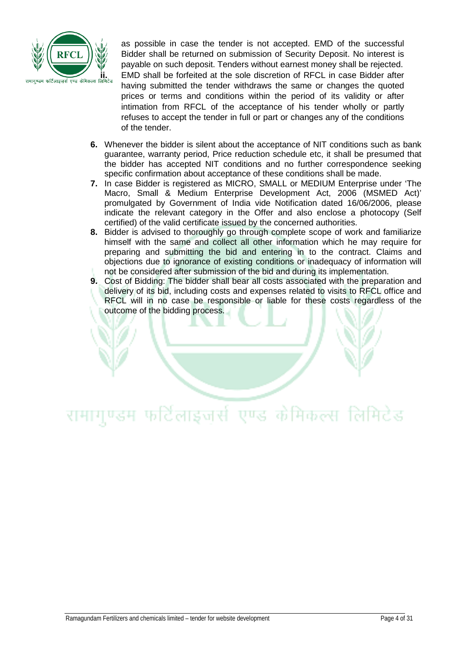

as possible in case the tender is not accepted. EMD of the successful Bidder shall be returned on submission of Security Deposit. No interest is payable on such deposit. Tenders without earnest money shall be rejected. EMD shall be forfeited at the sole discretion of RFCL in case Bidder after having submitted the tender withdraws the same or changes the quoted prices or terms and conditions within the period of its validity or after intimation from RFCL of the acceptance of his tender wholly or partly refuses to accept the tender in full or part or changes any of the conditions of the tender.

- **6.** Whenever the bidder is silent about the acceptance of NIT conditions such as bank guarantee, warranty period, Price reduction schedule etc, it shall be presumed that the bidder has accepted NIT conditions and no further correspondence seeking specific confirmation about acceptance of these conditions shall be made.
- **7.** In case Bidder is registered as MICRO, SMALL or MEDIUM Enterprise under 'The Macro, Small & Medium Enterprise Development Act, 2006 (MSMED Act)' promulgated by Government of India vide Notification dated 16/06/2006, please indicate the relevant category in the Offer and also enclose a photocopy (Self certified) of the valid certificate issued by the concerned authorities.
- **8.** Bidder is advised to thoroughly go through complete scope of work and familiarize himself with the same and collect all other information which he may require for preparing and submitting the bid and entering in to the contract. Claims and objections due to ignorance of existing conditions or inadequacy of information will not be considered after submission of the bid and during its implementation.
- **9.** Cost of Bidding: The bidder shall bear all costs associated with the preparation and delivery of its bid, including costs and expenses related to visits to RFCL office and RFCL will in no case be responsible or liable for these costs regardless of the outcome of the bidding process.

# रामागुण्डम फर्टिलाइजुर्स एण्ड केमिकल्स लिमिटेड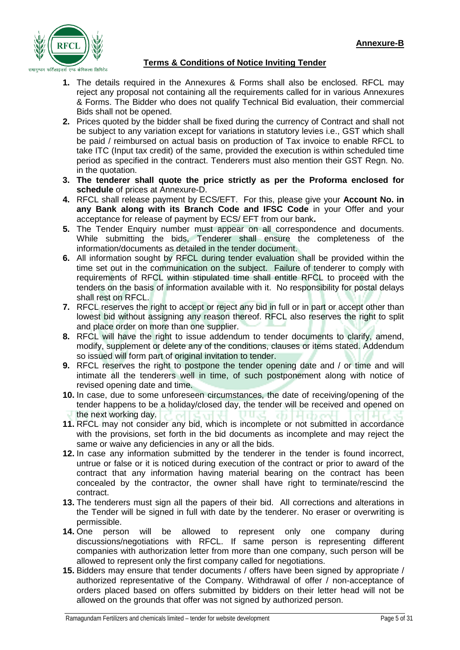

## **Terms & Conditions of Notice Inviting Tender**

- **1.** The details required in the Annexures & Forms shall also be enclosed. RFCL may reject any proposal not containing all the requirements called for in various Annexures & Forms. The Bidder who does not qualify Technical Bid evaluation, their commercial Bids shall not be opened.
- **2.** Prices quoted by the bidder shall be fixed during the currency of Contract and shall not be subject to any variation except for variations in statutory levies i.e., GST which shall be paid / reimbursed on actual basis on production of Tax invoice to enable RFCL to take ITC (Input tax credit) of the same, provided the execution is within scheduled time period as specified in the contract. Tenderers must also mention their GST Regn. No. in the quotation.
- **3. The tenderer shall quote the price strictly as per the Proforma enclosed for schedule** of prices at Annexure-D.
- **4.** RFCL shall release payment by ECS/EFT. For this, please give your **Account No. in any Bank along with its Branch Code and IFSC Code** in your Offer and your acceptance for release of payment by ECS/ EFT from our bank**.**
- **5.** The Tender Enquiry number must appear on all correspondence and documents. While submitting the bids, Tenderer shall ensure the completeness of the information/documents as detailed in the tender document.
- **6.** All information sought by RFCL during tender evaluation shall be provided within the time set out in the communication on the subject. Failure of tenderer to comply with requirements of RFCL within stipulated time shall entitle RFCL to proceed with the tenders on the basis of information available with it. No responsibility for postal delays shall rest on RFCL.
- **7.** RFCL reserves the right to accept or reject any bid in full or in part or accept other than lowest bid without assigning any reason thereof. RFCL also reserves the right to split and place order on more than one supplier.
- **8.** RFCL will have the right to issue addendum to tender documents to clarify, amend, modify, supplement or delete any of the conditions, clauses or items stated. Addendum so issued will form part of original invitation to tender.
- **9.** RFCL reserves the right to postpone the tender opening date and / or time and will intimate all the tenderers well in time, of such postponement along with notice of revised opening date and time.
- **10.** In case, due to some unforeseen circumstances, the date of receiving/opening of the tender happens to be a holiday/closed day, the tender will be received and opened on the next working day.
- **11.** RFCL may not consider any bid, which is incomplete or not submitted in accordance with the provisions, set forth in the bid documents as incomplete and may reject the same or waive any deficiencies in any or all the bids.
- **12.** In case any information submitted by the tenderer in the tender is found incorrect, untrue or false or it is noticed during execution of the contract or prior to award of the contract that any information having material bearing on the contract has been concealed by the contractor, the owner shall have right to terminate/rescind the contract.
- **13.** The tenderers must sign all the papers of their bid. All corrections and alterations in the Tender will be signed in full with date by the tenderer. No eraser or overwriting is permissible.
- **14.** One person will be allowed to represent only one company during discussions/negotiations with RFCL. If same person is representing different companies with authorization letter from more than one company, such person will be allowed to represent only the first company called for negotiations.
- **15.** Bidders may ensure that tender documents / offers have been signed by appropriate / authorized representative of the Company. Withdrawal of offer / non-acceptance of orders placed based on offers submitted by bidders on their letter head will not be allowed on the grounds that offer was not signed by authorized person.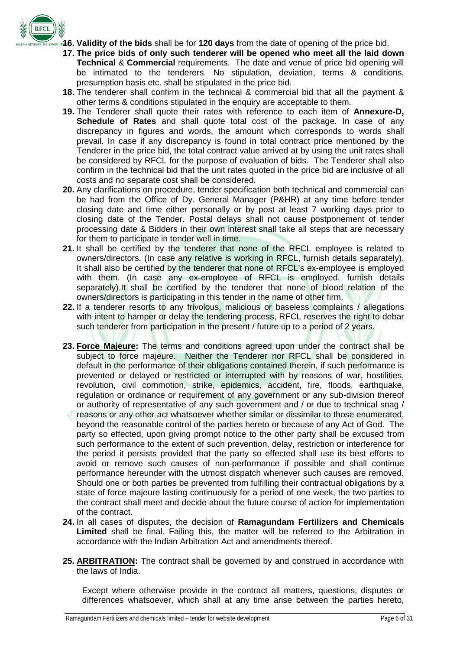

- **16. Validity of the bids** shall be for **120 days** from the date of opening of the price bid.
- **17. The price bids of only such tenderer will be opened who meet all the laid down Technical** & **Commercial** requirements. The date and venue of price bid opening will be intimated to the tenderers. No stipulation, deviation, terms & conditions, presumption basis etc. shall be stipulated in the price bid.
- **18.** The tenderer shall confirm in the technical & commercial bid that all the payment & other terms & conditions stipulated in the enquiry are acceptable to them.
- **19.** The Tenderer shall quote their rates with reference to each item of **Annexure-D, Schedule of Rates** and shall quote total cost of the package. In case of any discrepancy in figures and words, the amount which corresponds to words shall prevail. In case if any discrepancy is found in total contract price mentioned by the Tenderer in the price bid, the total contract value arrived at by using the unit rates shall be considered by RFCL for the purpose of evaluation of bids. The Tenderer shall also confirm in the technical bid that the unit rates quoted in the price bid are inclusive of all costs and no separate cost shall be considered.
- **20.** Any clarifications on procedure, tender specification both technical and commercial can be had from the Office of Dy. General Manager (P&HR) at any time before tender closing date and time either personally or by post at least 7 working days prior to closing date of the Tender. Postal delays shall not cause postponement of tender processing date & Bidders in their own interest shall take all steps that are necessary for them to participate in tender well in time.
- **21.** It shall be certified by the tenderer that none of the RFCL employee is related to owners/directors. (In case any relative is working in RFCL, furnish details separately). It shall also be certified by the tenderer that none of RFCL's ex-employee is employed with them. (In case any ex-employee of RFCL is employed, furnish details separately).It shall be certified by the tenderer that none of blood relation of the owners/directors is participating in this tender in the name of other firm.
- **22.** If a tenderer resorts to any frivolous, malicious or baseless complaints / allegations with intent to hamper or delay the tendering process, RFCL reserves the right to debar such tenderer from participation in the present / future up to a period of 2 years.
- **23. Force Majeure:** The terms and conditions agreed upon under the contract shall be subject to force majeure. Neither the Tenderer nor RFCL shall be considered in default in the performance of their obligations contained therein, if such performance is prevented or delayed or restricted or interrupted with by reasons of war, hostilities, revolution, civil commotion, strike, epidemics, accident, fire, floods, earthquake, regulation or ordinance or requirement of any government or any sub-division thereof or authority of representative of any such government and / or due to technical snag / reasons or any other act whatsoever whether similar or dissimilar to those enumerated, beyond the reasonable control of the parties hereto or because of any Act of God. The party so effected, upon giving prompt notice to the other party shall be excused from such performance to the extent of such prevention, delay, restriction or interference for the period it persists provided that the party so effected shall use its best efforts to avoid or remove such causes of non-performance if possible and shall continue performance hereunder with the utmost dispatch whenever such causes are removed. Should one or both parties be prevented from fulfilling their contractual obligations by a state of force majeure lasting continuously for a period of one week, the two parties to the contract shall meet and decide about the future course of action for implementation of the contract.
- **24.** In all cases of disputes, the decision of **Ramagundam Fertilizers and Chemicals Limited** shall be final. Failing this, the matter will be referred to the Arbitration in accordance with the Indian Arbitration Act and amendments thereof.
- **25. ARBITRATION:** The contract shall be governed by and construed in accordance with the laws of India.

Except where otherwise provide in the contract all matters, questions, disputes or differences whatsoever, which shall at any time arise between the parties hereto,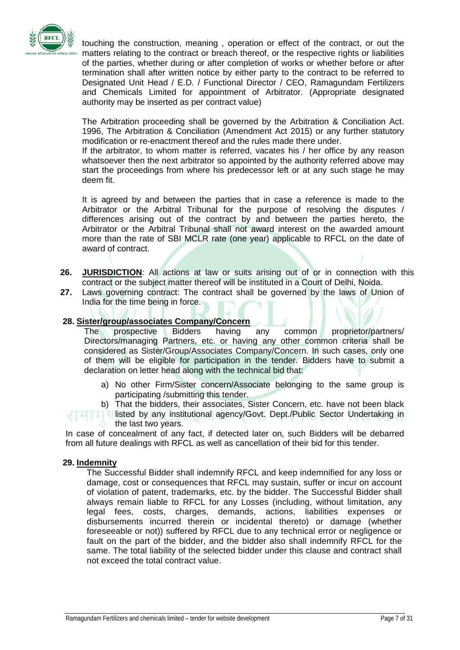

touching the construction, meaning , operation or effect of the contract, or out the matters relating to the contract or breach thereof, or the respective rights or liabilities of the parties, whether during or after completion of works or whether before or after termination shall after written notice by either party to the contract to be referred to Designated Unit Head / E.D. / Functional Director / CEO, Ramagundam Fertilizers and Chemicals Limited for appointment of Arbitrator. (Appropriate designated authority may be inserted as per contract value)

The Arbitration proceeding shall be governed by the Arbitration & Conciliation Act. 1996, The Arbitration & Conciliation (Amendment Act 2015) or any further statutory modification or re-enactment thereof and the rules made there under.

If the arbitrator, to whom matter is referred, vacates his / her office by any reason whatsoever then the next arbitrator so appointed by the authority referred above may start the proceedings from where his predecessor left or at any such stage he may deem fit.

It is agreed by and between the parties that in case a reference is made to the Arbitrator or the Arbitral Tribunal for the purpose of resolving the disputes / differences arising out of the contract by and between the parties hereto, the Arbitrator or the Arbitral Tribunal shall not award interest on the awarded amount more than the rate of SBI MCLR rate (one year) applicable to RFCL on the date of award of contract.

- **26. JURISDICTION**: All actions at law or suits arising out of or in connection with this contract or the subject matter thereof will be instituted in a Court of Delhi, Noida.
- **27.** Laws governing contract: The contract shall be governed by the laws of Union of India for the time being in force.

#### **28. Sister/group/associates Company/Concern**

The prospective Bidders having any common proprietor/partners/ Directors/managing Partners, etc. or having any other common criteria shall be considered as Sister/Group/Associates Company/Concern. In such cases, only one of them will be eligible for participation in the tender. Bidders have to submit a declaration on letter head along with the technical bid that:

- a) No other Firm/Sister concern/Associate belonging to the same group is participating /submitting this tender.
- b) That the bidders, their associates, Sister Concern, etc. have not been black

**IT Listed by any institutional agency/Govt. Dept./Public Sector Undertaking in** the last two years.

In case of concealment of any fact, if detected later on, such Bidders will be debarred from all future dealings with RFCL as well as cancellation of their bid for this tender.

#### **29. Indemnity**

The Successful Bidder shall indemnify RFCL and keep indemnified for any loss or damage, cost or consequences that RFCL may sustain, suffer or incur on account of violation of patent, trademarks, etc. by the bidder. The Successful Bidder shall always remain liable to RFCL for any Losses (including, without limitation, any legal fees, costs, charges, demands, actions, liabilities expenses or disbursements incurred therein or incidental thereto) or damage (whether foreseeable or not)) suffered by RFCL due to any technical error or negligence or fault on the part of the bidder, and the bidder also shall indemnify RFCL for the same. The total liability of the selected bidder under this clause and contract shall not exceed the total contract value.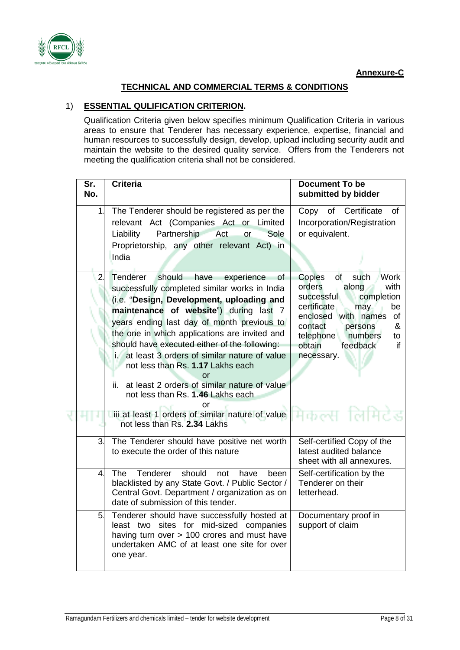

## **TECHNICAL AND COMMERCIAL TERMS & CONDITIONS**

## 1) **ESSENTIAL QULIFICATION CRITERION.**

Qualification Criteria given below specifies minimum Qualification Criteria in various areas to ensure that Tenderer has necessary experience, expertise, financial and human resources to successfully design, develop, upload including security audit and maintain the website to the desired quality service. Offers from the Tenderers not meeting the qualification criteria shall not be considered.

| Sr.<br>No.     | <b>Criteria</b>                                                                                                                                                                                                                                                                                                                                                                                                                                                                                                                                                                                                                                        | <b>Document To be</b><br>submitted by bidder                                                                                                                                                                                                           |
|----------------|--------------------------------------------------------------------------------------------------------------------------------------------------------------------------------------------------------------------------------------------------------------------------------------------------------------------------------------------------------------------------------------------------------------------------------------------------------------------------------------------------------------------------------------------------------------------------------------------------------------------------------------------------------|--------------------------------------------------------------------------------------------------------------------------------------------------------------------------------------------------------------------------------------------------------|
| $\mathbf{1}$   | The Tenderer should be registered as per the<br>relevant Act (Companies Act or Limited<br>Partnership Act<br>Sole<br>Liability<br>or<br>Proprietorship, any other relevant Act) in<br>India                                                                                                                                                                                                                                                                                                                                                                                                                                                            | Copy of Certificate<br>0f<br>Incorporation/Registration<br>or equivalent.                                                                                                                                                                              |
| 2              | Tenderer should<br>have<br>experience<br>οf<br>successfully completed similar works in India<br>(i.e. "Design, Development, uploading and<br>maintenance of website") during last 7<br>years ending last day of month previous to<br>the one in which applications are invited and<br>should have executed either of the following:<br>i. at least 3 orders of similar nature of value<br>not less than Rs. 1.17 Lakhs each<br>or<br>at least 2 orders of similar nature of value<br>ii.<br>not less than Rs. 1.46 Lakhs each<br>or<br>Uili at least 1 orders of similar nature of value <b>Address of Temperature</b><br>not less than Rs. 2.34 Lakhs | Copies<br>of<br>such<br><b>Work</b><br>orders<br>along<br>with<br>successful<br>completion<br>certificate<br>may<br>be<br>enclosed with names<br>of<br>contact<br>&<br>persons<br>telephone<br>numbers<br>to<br>obtain<br>feedback<br>if<br>necessary. |
| 3.             | The Tenderer should have positive net worth<br>to execute the order of this nature                                                                                                                                                                                                                                                                                                                                                                                                                                                                                                                                                                     | Self-certified Copy of the<br>latest audited balance<br>sheet with all annexures.                                                                                                                                                                      |
| 4 <sup>1</sup> | Tenderer<br>should<br><b>The</b><br>not<br>have<br>been<br>blacklisted by any State Govt. / Public Sector /<br>Central Govt. Department / organization as on<br>date of submission of this tender.                                                                                                                                                                                                                                                                                                                                                                                                                                                     | Self-certification by the<br>Tenderer on their<br>letterhead.                                                                                                                                                                                          |
| 5.             | Tenderer should have successfully hosted at<br>least two sites for mid-sized companies<br>having turn over > 100 crores and must have<br>undertaken AMC of at least one site for over<br>one year.                                                                                                                                                                                                                                                                                                                                                                                                                                                     | Documentary proof in<br>support of claim                                                                                                                                                                                                               |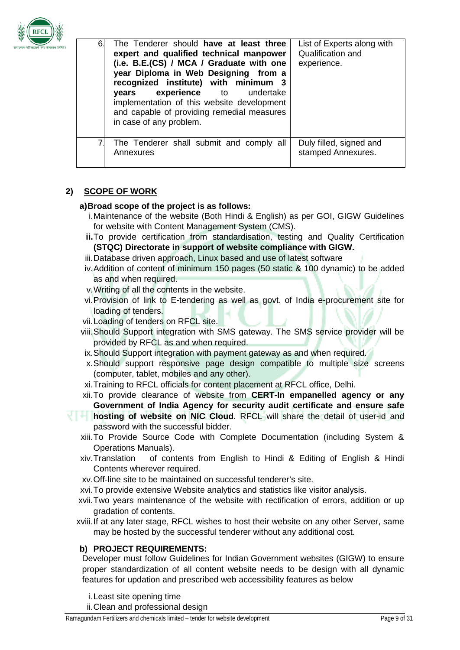

| 6. | The Tenderer should have at least three<br>expert and qualified technical manpower<br>(i.e. B.E.(CS) / MCA / Graduate with one<br>year Diploma in Web Designing from a<br>recognized institute) with minimum 3<br><b>experience</b> to undertake<br>years<br>implementation of this website development<br>and capable of providing remedial measures<br>in case of any problem. | List of Experts along with<br>Qualification and<br>experience. |
|----|----------------------------------------------------------------------------------------------------------------------------------------------------------------------------------------------------------------------------------------------------------------------------------------------------------------------------------------------------------------------------------|----------------------------------------------------------------|
|    | The Tenderer shall submit and comply all<br>Annexures                                                                                                                                                                                                                                                                                                                            | Duly filled, signed and<br>stamped Annexures.                  |

# **2) SCOPE OF WORK**

#### **a)Broad scope of the project is as follows:**

- i.Maintenance of the website (Both Hindi & English) as per GOI, GIGW Guidelines for website with Content Management System (CMS).
- **ii.**To provide certification from standardisation, testing and Quality Certification **(STQC) Directorate in support of website compliance with GIGW.**
- iii.Database driven approach, Linux based and use of latest software
- iv.Addition of content of minimum 150 pages (50 static & 100 dynamic) to be added as and when required.
- v.Writing of all the contents in the website.
- vi.Provision of link to E-tendering as well as govt. of India e-procurement site for loading of tenders.
- vii.Loading of tenders on RFCL site.
- viii.Should Support integration with SMS gateway. The SMS service provider will be provided by RFCL as and when required.
- ix.Should Support integration with payment gateway as and when required.
- x.Should support responsive page design compatible to multiple size screens (computer, tablet, mobiles and any other).
- xi.Training to RFCL officials for content placement at RFCL office, Delhi.
- xii.To provide clearance of website from **CERT-In empanelled agency or any Government of India Agency for security audit certificate and ensure safe**
- **hosting of website on NIC Cloud.** RFCL will share the detail of user-id and password with the successful bidder.
	- xiii.To Provide Source Code with Complete Documentation (including System & Operations Manuals).
	- xiv.Translation of contents from English to Hindi & Editing of English & Hindi Contents wherever required.
	- xv.Off-line site to be maintained on successful tenderer's site.
	- xvi.To provide extensive Website analytics and statistics like visitor analysis.
	- xvii.Two years maintenance of the website with rectification of errors, addition or up gradation of contents.
	- xviii.If at any later stage, RFCL wishes to host their website on any other Server, same may be hosted by the successful tenderer without any additional cost.

## **b) PROJECT REQUIREMENTS:**

Developer must follow Guidelines for Indian Government websites (GIGW) to ensure proper standardization of all content website needs to be design with all dynamic features for updation and prescribed web accessibility features as below

i.Least site opening time

ii.Clean and professional design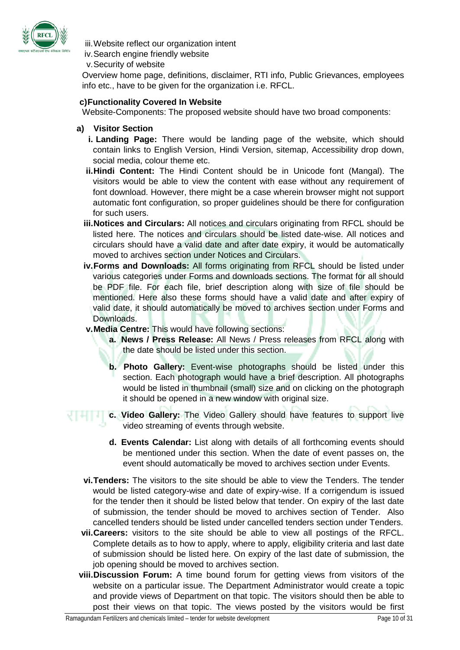

iii.Website reflect our organization intent iv.Search engine friendly website

v.Security of website

Overview home page, definitions, disclaimer, RTI info, Public Grievances, employees info etc., have to be given for the organization i.e. RFCL.

### **c)Functionality Covered In Website**

Website-Components: The proposed website should have two broad components:

- **a) Visitor Section**
	- **i. Landing Page:** There would be landing page of the website, which should contain links to English Version, Hindi Version, sitemap, Accessibility drop down, social media, colour theme etc.
	- **ii.Hindi Content:** The Hindi Content should be in Unicode font (Mangal). The visitors would be able to view the content with ease without any requirement of font download. However, there might be a case wherein browser might not support automatic font configuration, so proper guidelines should be there for configuration for such users.
	- **iii.Notices and Circulars:** All notices and circulars originating from RFCL should be listed here. The notices and circulars should be listed date-wise. All notices and circulars should have a valid date and after date expiry, it would be automatically moved to archives section under Notices and Circulars.
	- **iv.Forms and Downloads:** All forms originating from RFCL should be listed under various categories under Forms and downloads sections. The format for all should be PDF file. For each file, brief description along with size of file should be mentioned. Here also these forms should have a valid date and after expiry of valid date, it should automatically be moved to archives section under Forms and Downloads.
	- **v.Media Centre:** This would have following sections:
		- **a. News / Press Release:** All News / Press releases from RFCL along with the date should be listed under this section.
		- **b. Photo Gallery:** Event-wise photographs should be listed under this section. Each photograph would have a brief description. All photographs would be listed in thumbnail (small) size and on clicking on the photograph it should be opened in a new window with original size.
- **c.** Video Gallery: The Video Gallery should have features to support live video streaming of events through website.
	- **d. Events Calendar:** List along with details of all forthcoming events should be mentioned under this section. When the date of event passes on, the event should automatically be moved to archives section under Events.
	- **vi.Tenders:** The visitors to the site should be able to view the Tenders. The tender would be listed category-wise and date of expiry-wise. If a corrigendum is issued for the tender then it should be listed below that tender. On expiry of the last date of submission, the tender should be moved to archives section of Tender. Also cancelled tenders should be listed under cancelled tenders section under Tenders.
	- **vii.Careers:** visitors to the site should be able to view all postings of the RFCL. Complete details as to how to apply, where to apply, eligibility criteria and last date of submission should be listed here. On expiry of the last date of submission, the job opening should be moved to archives section.
	- **viii.Discussion Forum:** A time bound forum for getting views from visitors of the website on a particular issue. The Department Administrator would create a topic and provide views of Department on that topic. The visitors should then be able to post their views on that topic. The views posted by the visitors would be first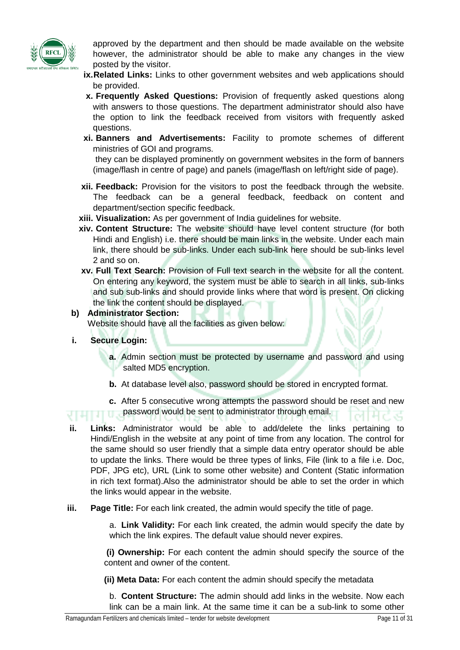

approved by the department and then should be made available on the website however, the administrator should be able to make any changes in the view posted by the visitor.

- **ix.Related Links:** Links to other government websites and web applications should be provided.
- **x. Frequently Asked Questions:** Provision of frequently asked questions along with answers to those questions. The department administrator should also have the option to link the feedback received from visitors with frequently asked questions.
- **xi. Banners and Advertisements:** Facility to promote schemes of different ministries of GOI and programs.

they can be displayed prominently on government websites in the form of banners (image/flash in centre of page) and panels (image/flash on left/right side of page).

- **xii. Feedback:** Provision for the visitors to post the feedback through the website. The feedback can be a general feedback, feedback on content and department/section specific feedback.
- **xiii. Visualization:** As per government of India guidelines for website.
- **xiv. Content Structure:** The website should have level content structure (for both Hindi and English) i.e. there should be main links in the website. Under each main link, there should be sub-links. Under each sub-link here should be sub-links level 2 and so on.
- **xv. Full Text Search:** Provision of Full text search in the website for all the content. On entering any keyword, the system must be able to search in all links, sub-links and sub sub-links and should provide links where that word is present. On clicking the link the content should be displayed.

#### **b) Administrator Section:**

Website should have all the facilities as given below:

- **i. Secure Login:**
	- **a.** Admin section must be protected by username and password and using salted MD5 encryption.
	- **b.** At database level also, password should be stored in encrypted format.
	- **c.** After 5 consecutive wrong attempts the password should be reset and new password would be sent to administrator through email.
- **ii. Links:** Administrator would be able to add/delete the links pertaining to Hindi/English in the website at any point of time from any location. The control for the same should so user friendly that a simple data entry operator should be able to update the links. There would be three types of links, File (link to a file i.e. Doc, PDF, JPG etc), URL (Link to some other website) and Content (Static information in rich text format).Also the administrator should be able to set the order in which the links would appear in the website.
- **iii. Page Title:** For each link created, the admin would specify the title of page.

a. **Link Validity:** For each link created, the admin would specify the date by which the link expires. The default value should never expires.

**(i) Ownership:** For each content the admin should specify the source of the content and owner of the content.

**(ii) Meta Data:** For each content the admin should specify the metadata

b. **Content Structure:** The admin should add links in the website. Now each link can be a main link. At the same time it can be a sub-link to some other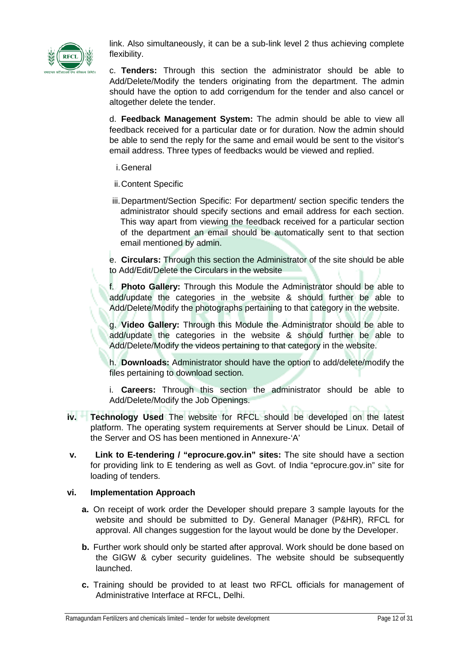

link. Also simultaneously, it can be a sub-link level 2 thus achieving complete flexibility.

c. **Tenders:** Through this section the administrator should be able to Add/Delete/Modify the tenders originating from the department. The admin should have the option to add corrigendum for the tender and also cancel or altogether delete the tender.

d. **Feedback Management System:** The admin should be able to view all feedback received for a particular date or for duration. Now the admin should be able to send the reply for the same and email would be sent to the visitor's email address. Three types of feedbacks would be viewed and replied.

- i.General
- ii.Content Specific
- iii.Department/Section Specific: For department/ section specific tenders the administrator should specify sections and email address for each section. This way apart from viewing the feedback received for a particular section of the department an email should be automatically sent to that section email mentioned by admin.

e. **Circulars:** Through this section the Administrator of the site should be able to Add/Edit/Delete the Circulars in the website

f. **Photo Gallery:** Through this Module the Administrator should be able to add/update the categories in the website & should further be able to Add/Delete/Modify the photographs pertaining to that category in the website.

g. **Video Gallery:** Through this Module the Administrator should be able to add/update the categories in the website & should further be able to Add/Delete/Modify the videos pertaining to that category in the website.

h. **Downloads:** Administrator should have the option to add/delete/modify the files pertaining to download section.

i. **Careers:** Through this section the administrator should be able to Add/Delete/Modify the Job Openings.

- **iv. Technology Used** The website for RFCL should be developed on the latest platform. The operating system requirements at Server should be Linux. Detail of the Server and OS has been mentioned in Annexure-'A'
- **v. Link to E-tendering / "eprocure.gov.in" sites:** The site should have a section for providing link to E tendering as well as Govt. of India "eprocure.gov.in" site for loading of tenders.

## **vi. Implementation Approach**

- **a.** On receipt of work order the Developer should prepare 3 sample layouts for the website and should be submitted to Dy. General Manager (P&HR), RFCL for approval. All changes suggestion for the layout would be done by the Developer.
- **b.** Further work should only be started after approval. Work should be done based on the GIGW & cyber security guidelines. The website should be subsequently launched.
- **c.** Training should be provided to at least two RFCL officials for management of Administrative Interface at RFCL, Delhi.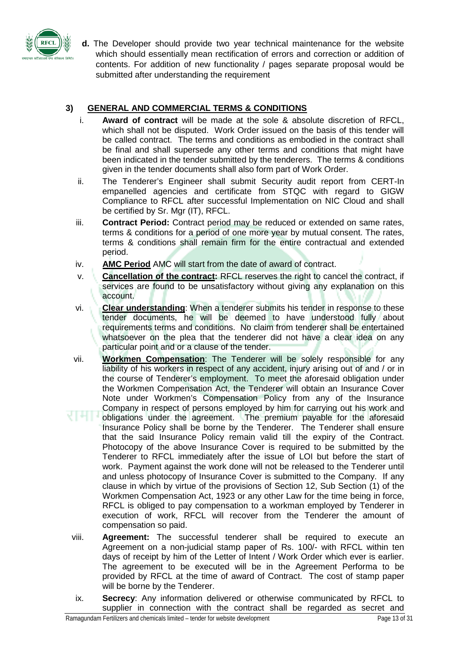

**d.** The Developer should provide two year technical maintenance for the website which should essentially mean rectification of errors and correction or addition of contents. For addition of new functionality / pages separate proposal would be submitted after understanding the requirement

## **3) GENERAL AND COMMERCIAL TERMS & CONDITIONS**

- i. **Award of contract** will be made at the sole & absolute discretion of RFCL, which shall not be disputed. Work Order issued on the basis of this tender will be called contract. The terms and conditions as embodied in the contract shall be final and shall supersede any other terms and conditions that might have been indicated in the tender submitted by the tenderers. The terms & conditions given in the tender documents shall also form part of Work Order.
- ii. The Tenderer's Engineer shall submit Security audit report from CERT-In empanelled agencies and certificate from STQC with regard to GIGW Compliance to RFCL after successful Implementation on NIC Cloud and shall be certified by Sr. Mgr (IT), RFCL.
- iii. **Contract Period:** Contract period may be reduced or extended on same rates, terms & conditions for a period of one more year by mutual consent. The rates, terms & conditions shall remain firm for the entire contractual and extended period.
- iv. **AMC Period** AMC will start from the date of award of contract.
- v. **Cancellation of the contract:** RFCL reserves the right to cancel the contract, if services are found to be unsatisfactory without giving any explanation on this account.
- vi. **Clear understanding**: When a tenderer submits his tender in response to these tender documents, he will be deemed to have understood fully about requirements terms and conditions. No claim from tenderer shall be entertained whatsoever on the plea that the tenderer did not have a clear idea on any particular point and or a clause of the tender.
- vii. **Workmen Compensation**: The Tenderer will be solely responsible for any liability of his workers in respect of any accident, injury arising out of and / or in the course of Tenderer's employment. To meet the aforesaid obligation under the Workmen Compensation Act, the Tenderer will obtain an Insurance Cover Note under Workmen's Compensation Policy from any of the Insurance Company in respect of persons employed by him for carrying out his work and obligations under the agreement. The premium payable for the aforesaid
- Insurance Policy shall be borne by the Tenderer. The Tenderer shall ensure that the said Insurance Policy remain valid till the expiry of the Contract. Photocopy of the above Insurance Cover is required to be submitted by the Tenderer to RFCL immediately after the issue of LOI but before the start of work. Payment against the work done will not be released to the Tenderer until and unless photocopy of Insurance Cover is submitted to the Company. If any clause in which by virtue of the provisions of Section 12, Sub Section (1) of the Workmen Compensation Act, 1923 or any other Law for the time being in force, RFCL is obliged to pay compensation to a workman employed by Tenderer in execution of work, RFCL will recover from the Tenderer the amount of compensation so paid.
- viii. **Agreement:** The successful tenderer shall be required to execute an Agreement on a non-judicial stamp paper of Rs. 100/- with RFCL within ten days of receipt by him of the Letter of Intent / Work Order which ever is earlier. The agreement to be executed will be in the Agreement Performa to be provided by RFCL at the time of award of Contract. The cost of stamp paper will be borne by the Tenderer.
- ix. **Secrecy**: Any information delivered or otherwise communicated by RFCL to supplier in connection with the contract shall be regarded as secret and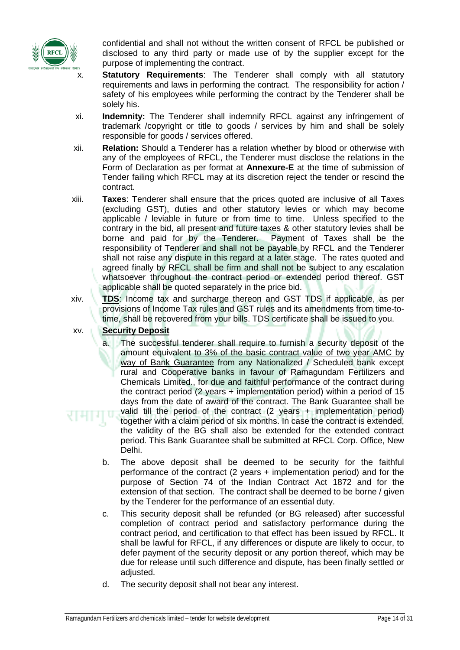

confidential and shall not without the written consent of RFCL be published or disclosed to any third party or made use of by the supplier except for the purpose of implementing the contract.

- x. **Statutory Requirements**: The Tenderer shall comply with all statutory requirements and laws in performing the contract. The responsibility for action / safety of his employees while performing the contract by the Tenderer shall be solely his.
- xi. **Indemnity:** The Tenderer shall indemnify RFCL against any infringement of trademark /copyright or title to goods / services by him and shall be solely responsible for goods / services offered.
- xii. **Relation:** Should a Tenderer has a relation whether by blood or otherwise with any of the employees of RFCL, the Tenderer must disclose the relations in the Form of Declaration as per format at **Annexure-E** at the time of submission of Tender failing which RFCL may at its discretion reject the tender or rescind the contract.
- xiii. **Taxes**: Tenderer shall ensure that the prices quoted are inclusive of all Taxes (excluding GST), duties and other statutory levies or which may become applicable / leviable in future or from time to time. Unless specified to the contrary in the bid, all present and future taxes & other statutory levies shall be borne and paid for by the Tenderer. Payment of Taxes shall be the responsibility of Tenderer and shall not be payable by RFCL and the Tenderer shall not raise any dispute in this regard at a later stage. The rates quoted and agreed finally by RFCL shall be firm and shall not be subject to any escalation whatsoever throughout the contract period or extended period thereof. GST applicable shall be quoted separately in the price bid.
- xiv. **TDS**: Income tax and surcharge thereon and GST TDS if applicable, as per provisions of Income Tax rules and GST rules and its amendments from time-totime, shall be recovered from your bills. TDS certificate shall be issued to you.

## xv. **Security Deposit**

- a. The successful tenderer shall require to furnish a security deposit of the amount equivalent to 3% of the basic contract value of two year AMC by way of Bank Guarantee from any Nationalized / Scheduled bank except rural and Cooperative banks in favour of Ramagundam Fertilizers and Chemicals Limited., for due and faithful performance of the contract during the contract period (2 years + implementation period) within a period of 15 days from the date of award of the contract. The Bank Guarantee shall be valid till the period of the contract (2 years + implementation period) together with a claim period of six months. In case the contract is extended, the validity of the BG shall also be extended for the extended contract period. This Bank Guarantee shall be submitted at RFCL Corp. Office, New Delhi.
- b. The above deposit shall be deemed to be security for the faithful performance of the contract (2 years + implementation period) and for the purpose of Section 74 of the Indian Contract Act 1872 and for the extension of that section. The contract shall be deemed to be borne / given by the Tenderer for the performance of an essential duty.
- c. This security deposit shall be refunded (or BG released) after successful completion of contract period and satisfactory performance during the contract period, and certification to that effect has been issued by RFCL. It shall be lawful for RFCL, if any differences or dispute are likely to occur, to defer payment of the security deposit or any portion thereof, which may be due for release until such difference and dispute, has been finally settled or adjusted.
- d. The security deposit shall not bear any interest.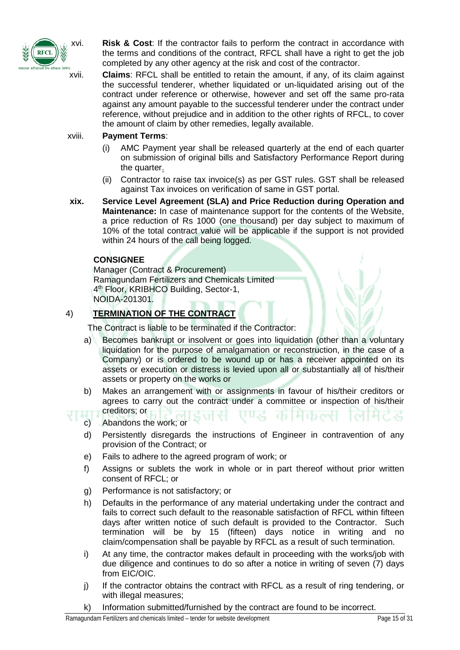

xvi. **Risk & Cost**: If the contractor fails to perform the contract in accordance with the terms and conditions of the contract, RFCL shall have a right to get the job completed by any other agency at the risk and cost of the contractor.

xvii. **Claims**: RFCL shall be entitled to retain the amount, if any, of its claim against the successful tenderer, whether liquidated or un-liquidated arising out of the contract under reference or otherwise, however and set off the same pro-rata against any amount payable to the successful tenderer under the contract under reference, without prejudice and in addition to the other rights of RFCL, to cover the amount of claim by other remedies, legally available.

#### xviii. **Payment Terms**:

- (i) AMC Payment year shall be released quarterly at the end of each quarter on submission of original bills and Satisfactory Performance Report during the quarter.
- (ii) Contractor to raise tax invoice(s) as per GST rules. GST shall be released against Tax invoices on verification of same in GST portal.
- **xix. Service Level Agreement (SLA) and Price Reduction during Operation and Maintenance:** In case of maintenance support for the contents of the Website, a price reduction of Rs 1000 (one thousand) per day subject to maximum of 10% of the total contract value will be applicable if the support is not provided within 24 hours of the call being logged.

## **CONSIGNEE**

Manager (Contract & Procurement) Ramagundam Fertilizers and Chemicals Limited 4<sup>th</sup> Floor, KRIBHCO Building, Sector-1, NOIDA-201301.

## 4) **TERMINATION OF THE CONTRACT**

The Contract is liable to be terminated if the Contractor:

- a) Becomes bankrupt or insolvent or goes into liquidation (other than a voluntary liquidation for the purpose of amalgamation or reconstruction, in the case of a Company) or is ordered to be wound up or has a receiver appointed on its assets or execution or distress is levied upon all or substantially all of his/their assets or property on the works or
- b) Makes an arrangement with or assignments in favour of his/their creditors or agrees to carry out the contract under a committee or inspection of his/their creditors; or
- c) Abandons the work; or
	- d) Persistently disregards the instructions of Engineer in contravention of any provision of the Contract; or
	- e) Fails to adhere to the agreed program of work; or
	- f) Assigns or sublets the work in whole or in part thereof without prior written consent of RFCL; or
	- g) Performance is not satisfactory; or
	- h) Defaults in the performance of any material undertaking under the contract and fails to correct such default to the reasonable satisfaction of RFCL within fifteen days after written notice of such default is provided to the Contractor. Such termination will be by 15 (fifteen) days notice in writing and no claim/compensation shall be payable by RFCL as a result of such termination.
	- i) At any time, the contractor makes default in proceeding with the works/job with due diligence and continues to do so after a notice in writing of seven (7) days from EIC/OIC.
	- j) If the contractor obtains the contract with RFCL as a result of ring tendering, or with illegal measures;
- k) Information submitted/furnished by the contract are found to be incorrect.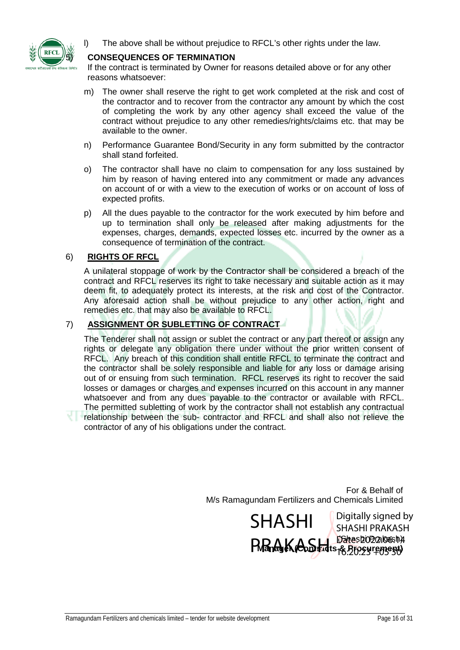

l) The above shall be without prejudice to RFCL's other rights under the law.

#### 5) **CONSEQUENCES OF TERMINATION**

If the contract is terminated by Owner for reasons detailed above or for any other reasons whatsoever:

- m) The owner shall reserve the right to get work completed at the risk and cost of the contractor and to recover from the contractor any amount by which the cost of completing the work by any other agency shall exceed the value of the contract without prejudice to any other remedies/rights/claims etc. that may be available to the owner.
- n) Performance Guarantee Bond/Security in any form submitted by the contractor shall stand forfeited.
- o) The contractor shall have no claim to compensation for any loss sustained by him by reason of having entered into any commitment or made any advances on account of or with a view to the execution of works or on account of loss of expected profits.
- p) All the dues payable to the contractor for the work executed by him before and up to termination shall only be released after making adjustments for the expenses, charges, demands, expected losses etc. incurred by the owner as a consequence of termination of the contract.

#### 6) **RIGHTS OF RFCL**

A unilateral stoppage of work by the Contractor shall be considered a breach of the contract and RFCL reserves its right to take necessary and suitable action as it may deem fit, to adequately protect its interests, at the risk and cost of the Contractor. Any aforesaid action shall be without prejudice to any other action, right and remedies etc. that may also be available to RFCL.

#### 7) **ASSIGNMENT OR SUBLETTING OF CONTRACT**

The Tenderer shall not assign or sublet the contract or any part thereof or assign any rights or delegate any obligation there under without the prior written consent of RFCL. Any breach of this condition shall entitle RFCL to terminate the contract and the contractor shall be solely responsible and liable for any loss or damage arising out of or ensuing from such termination. RFCL reserves its right to recover the said losses or damages or charges and expenses incurred on this account in any manner whatsoever and from any dues payable to the contractor or available with RFCL. The permitted subletting of work by the contractor shall not establish any contractual

relationship between the sub- contractor and RFCL and shall also not relieve the contractor of any of his obligations under the contract.

> For & Behalf of M/s Ramagundam Fertilizers and Chemicals Limited

> > (Shashi) Dakash **PARAK COD Tatts 8. 2022.06.14** SHASHI Digitally signed by SHASHI PRAKASH  $16.20.25$   $+05.50$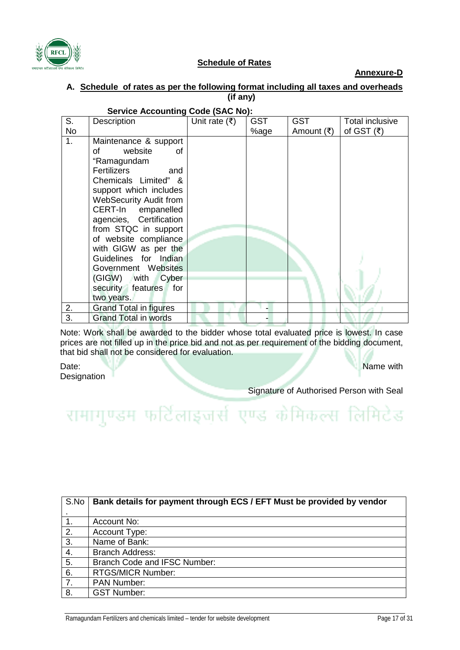

#### **Schedule of Rates**

**Annexure-D**

#### **A. Schedule of rates as per the following format including all taxes and overheads (if any)**

| S.        | Description                   | Unit rate $(\bar{\tau})$ | <b>GST</b> | <b>GST</b> | Total inclusive  |
|-----------|-------------------------------|--------------------------|------------|------------|------------------|
| <b>No</b> |                               |                          | %age       | Amount (₹) | of GST $($ ₹ $)$ |
| 1.        | Maintenance & support         |                          |            |            |                  |
|           | website<br>of<br>οf           |                          |            |            |                  |
|           | "Ramagundam                   |                          |            |            |                  |
|           | <b>Fertilizers</b><br>and     |                          |            |            |                  |
|           | Chemicals Limited" &          |                          |            |            |                  |
|           | support which includes        |                          |            |            |                  |
|           | <b>WebSecurity Audit from</b> |                          |            |            |                  |
|           | CERT-In empanelled            |                          |            |            |                  |
|           | agencies, Certification       |                          |            |            |                  |
|           | from STQC in support          |                          |            |            |                  |
|           | of website compliance         |                          |            |            |                  |
|           | with GIGW as per the          |                          |            |            |                  |
|           | Guidelines for Indian         |                          |            |            |                  |
|           | Government Websites           |                          |            |            |                  |
|           | (GIGW) with Cyber             |                          |            |            |                  |
|           | security features for         |                          |            |            |                  |
|           | two years.                    |                          |            |            |                  |
| 2.        | <b>Grand Total in figures</b> |                          |            |            |                  |
| 3.        | <b>Grand Total in words</b>   |                          |            |            |                  |

## **Service Accounting Code (SAC No):**

Note: Work shall be awarded to the bidder whose total evaluated price is lowest. In case prices are not filled up in the price bid and not as per requirement of the bidding document, that bid shall not be considered for evaluation.

Date: Name with the contract of the contract of the contract of the contract of the contract of the contract of the contract of the contract of the contract of the contract of the contract of the contract of the contract o **Designation** 

Signature of Authorised Person with Seal

# रामागुण्डम फर्टिलाइजुर्स एण्ड केमिकल्स लिमिटेड

| S.No | Bank details for payment through ECS / EFT Must be provided by vendor |  |  |
|------|-----------------------------------------------------------------------|--|--|
|      |                                                                       |  |  |
|      | Account No:                                                           |  |  |
| 2.   | Account Type:                                                         |  |  |
| 3.   | Name of Bank:                                                         |  |  |
| 4.   | <b>Branch Address:</b>                                                |  |  |
| 5.   | Branch Code and IFSC Number:                                          |  |  |
| 6.   | <b>RTGS/MICR Number:</b>                                              |  |  |
| 7.   | <b>PAN Number:</b>                                                    |  |  |
| 8.   | <b>GST Number:</b>                                                    |  |  |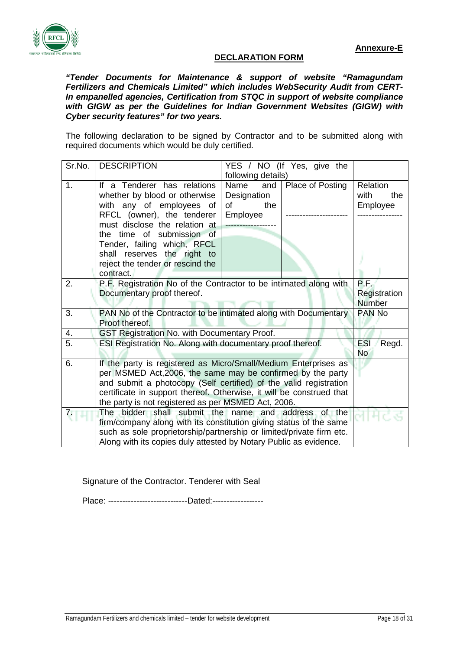

#### **DECLARATION FORM**

*"Tender Documents for Maintenance & support of website "Ramagundam Fertilizers and Chemicals Limited" which includes WebSecurity Audit from CERT-In empanelled agencies, Certification from STQC in support of website compliance with GIGW as per the Guidelines for Indian Government Websites (GIGW) with Cyber security features" for two years.*

The following declaration to be signed by Contractor and to be submitted along with required documents which would be duly certified.

| Sr.No.         | <b>DESCRIPTION</b>                                                   | YES / NO (If Yes, give the |                  |                     |
|----------------|----------------------------------------------------------------------|----------------------------|------------------|---------------------|
|                |                                                                      | following details)         |                  |                     |
| 1.             | If a Tenderer has relations                                          | Name<br>and                | Place of Posting | <b>Relation</b>     |
|                | whether by blood or otherwise                                        | Designation                |                  | with<br>the         |
|                | with any of employees of                                             | οf<br>the                  |                  | Employee            |
|                | RFCL (owner), the tenderer                                           | Employee                   |                  |                     |
|                | must disclose the relation at                                        |                            |                  |                     |
|                | the time of submission of                                            |                            |                  |                     |
|                | Tender, failing which, RFCL                                          |                            |                  |                     |
|                | shall reserves the right to                                          |                            |                  |                     |
|                | reject the tender or rescind the<br>contract.                        |                            |                  |                     |
| 2.             | P.F. Registration No of the Contractor to be intimated along with    |                            |                  | $PLF_{2}$           |
|                | Documentary proof thereof.                                           |                            |                  | Registration        |
|                |                                                                      |                            |                  | <b>Number</b>       |
| 3.             | PAN No of the Contractor to be intimated along with Documentary      |                            |                  | PAN No              |
|                | Proof thereof.                                                       |                            |                  |                     |
| 4.             | GST Registration No. with Documentary Proof.                         |                            |                  |                     |
| $\overline{5}$ | ESI Registration No. Along with documentary proof thereof.           |                            |                  | <b>ESI</b><br>Regd. |
|                |                                                                      |                            |                  | <b>No</b>           |
| 6.             | If the party is registered as Micro/Small/Medium Enterprises as      |                            |                  |                     |
|                | per MSMED Act, 2006, the same may be confirmed by the party          |                            |                  |                     |
|                | and submit a photocopy (Self certified) of the valid registration    |                            |                  |                     |
|                | certificate in support thereof. Otherwise, it will be construed that |                            |                  |                     |
|                | the party is not registered as per MSMED Act, 2006.                  |                            |                  |                     |
|                | The bidder shall submit the name and address of the                  |                            |                  |                     |
|                | firm/company along with its constitution giving status of the same   |                            |                  |                     |
|                | such as sole proprietorship/partnership or limited/private firm etc. |                            |                  |                     |
|                | Along with its copies duly attested by Notary Public as evidence.    |                            |                  |                     |

Signature of the Contractor. Tenderer with Seal

Place: -----------------------------------Dated:------------------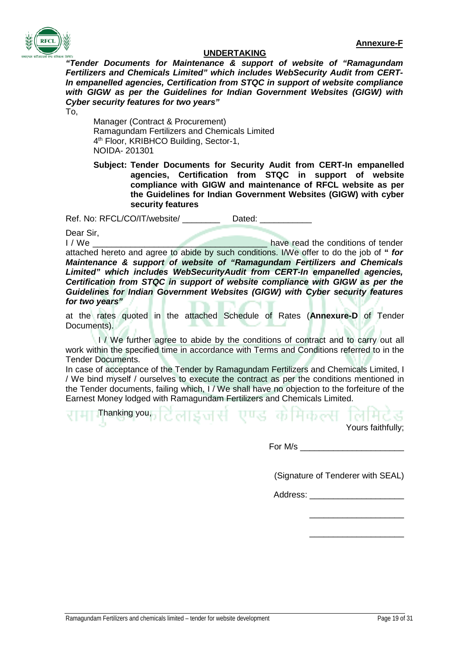

#### **UNDERTAKING**

*"Tender Documents for Maintenance & support of website of "Ramagundam Fertilizers and Chemicals Limited" which includes WebSecurity Audit from CERT-In empanelled agencies, Certification from STQC in support of website compliance with GIGW as per the Guidelines for Indian Government Websites (GIGW) with Cyber security features for two years"*

To,

Manager (Contract & Procurement) Ramagundam Fertilizers and Chemicals Limited 4<sup>th</sup> Floor, KRIBHCO Building, Sector-1, NOIDA- 201301

**Subject: Tender Documents for Security Audit from CERT-In empanelled agencies, Certification from STQC in support of website compliance with GIGW and maintenance of RFCL website as per the Guidelines for Indian Government Websites (GIGW) with cyber security features**

Ref. No: RFCL/CO/IT/website/ \_\_\_\_\_\_\_\_\_\_ Dated: \_\_\_\_\_\_\_\_\_\_\_

Dear Sir, I / We **I** all the conditions of tender attached hereto and agree to abide by such conditions. I/We offer to do the job of **"** *for Maintenance & support of website of "Ramagundam Fertilizers and Chemicals Limited" which includes WebSecurityAudit from CERT-In empanelled agencies, Certification from STQC in support of website compliance with GIGW as per the Guidelines for Indian Government Websites (GIGW) with Cyber security features for two years"*

at the rates quoted in the attached Schedule of Rates (**Annexure-D** of Tender Documents).

I / We further agree to abide by the conditions of contract and to carry out all work within the specified time in accordance with Terms and Conditions referred to in the Tender Documents.

In case of acceptance of the Tender by Ramagundam Fertilizers and Chemicals Limited, I / We bind myself / ourselves to execute the contract as per the conditions mentioned in the Tender documents, failing which, I / We shall have no objection to the forfeiture of the Earnest Money lodged with Ramagundam Fertilizers and Chemicals Limited.

Thanking you, टिलाइजरी एण्ड कोमिकल्स लिमिटेड Yours faithfully;

For  $M/s$ 

(Signature of Tenderer with SEAL)

Address:

\_\_\_\_\_\_\_\_\_\_\_\_\_\_\_\_\_\_\_\_ \_\_\_\_\_\_\_\_\_\_\_\_\_\_\_\_\_\_\_\_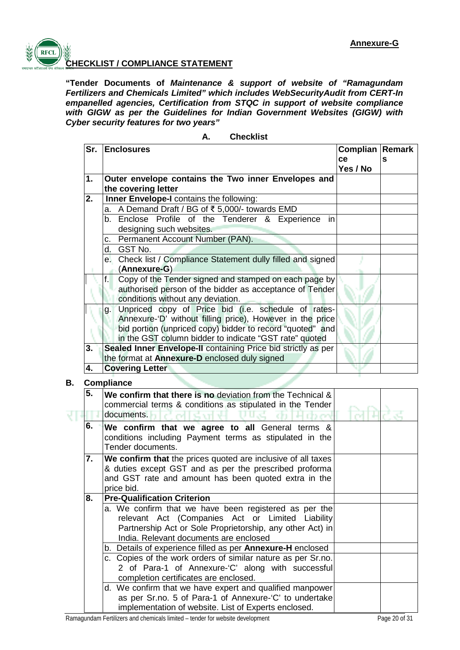

**B. Compliance**

# **CHECKLIST / COMPLIANCE STATEMENT**

**"Tender Documents of** *Maintenance & support of website of "Ramagundam Fertilizers and Chemicals Limited" which includes WebSecurityAudit from CERT-In empanelled agencies, Certification from STQC in support of website compliance with GIGW as per the Guidelines for Indian Government Websites (GIGW) with Cyber security features for two years"*

| Sr. | <b>Enclosures</b>                                             | Complian<br>ce<br>Yes / No | Remark<br>s |
|-----|---------------------------------------------------------------|----------------------------|-------------|
| 1.  | Outer envelope contains the Two inner Envelopes and           |                            |             |
|     | the covering letter                                           |                            |             |
| 2.  | Inner Envelope-I contains the following:                      |                            |             |
|     | A Demand Draft / BG of ₹ 5,000/- towards EMD<br>a.            |                            |             |
|     | Enclose Profile of the Tenderer & Experience<br>b.<br>-in     |                            |             |
|     | designing such websites.                                      |                            |             |
|     | Permanent Account Number (PAN).<br>с.                         |                            |             |
|     | GST No.<br>d.                                                 |                            |             |
|     | e. Check list / Compliance Statement dully filled and signed  |                            |             |
|     | (Annexure-G)                                                  |                            |             |
|     | Copy of the Tender signed and stamped on each page by<br>f.   |                            |             |
|     | authorised person of the bidder as acceptance of Tender       |                            |             |
|     | conditions without any deviation.                             |                            |             |
|     | Unpriced copy of Price bid (i.e. schedule of rates-<br>g.     |                            |             |
|     | Annexure-'D' without filling price), However in the price     |                            |             |
|     | bid portion (unpriced copy) bidder to record "quoted" and     |                            |             |
|     | in the GST column bidder to indicate "GST rate" quoted        |                            |             |
| 3.  | Sealed Inner Envelope-II containing Price bid strictly as per |                            |             |
|     | the format at Annexure-D enclosed duly signed                 |                            |             |
| 4.  | <b>Covering Letter</b>                                        |                            |             |
|     | <b>Compliance</b>                                             |                            |             |
| 5.  | We confirm that there is no deviation from the Technical &    |                            |             |
|     | commercial terms & conditions as stipulated in the Tender     |                            |             |
|     | documents.<br>⊆аті                                            |                            |             |
| 6.  | We confirm that we agree to all General terms &               |                            |             |
|     | conditions including Payment terms as stipulated in the       |                            |             |
|     | Tender documents.                                             |                            |             |
| 7.  | We confirm that the prices quoted are inclusive of all taxes  |                            |             |
|     | & duties except GST and as per the prescribed proforma        |                            |             |
|     | and GST rate and amount has been quoted extra in the          |                            |             |
|     | price bid.                                                    |                            |             |
| 8.  | <b>Pre-Qualification Criterion</b>                            |                            |             |
|     | a. We confirm that we have been registered as per the         |                            |             |
|     | relevant Act (Companies Act or Limited Liability              |                            |             |
|     | Partnership Act or Sole Proprietorship, any other Act) in     |                            |             |
|     | India. Relevant documents are enclosed                        |                            |             |
|     | b. Details of experience filled as per Annexure-H enclosed    |                            |             |
|     | c. Copies of the work orders of similar nature as per Sr.no.  |                            |             |
|     | 2 of Para-1 of Annexure-'C' along with successful             |                            |             |
|     | completion certificates are enclosed.                         |                            |             |
|     | d. We confirm that we have expert and qualified manpower      |                            |             |
|     | as per Sr.no. 5 of Para-1 of Annexure-'C' to undertake        |                            |             |

#### **A. Checklist**

implementation of website. List of Experts enclosed.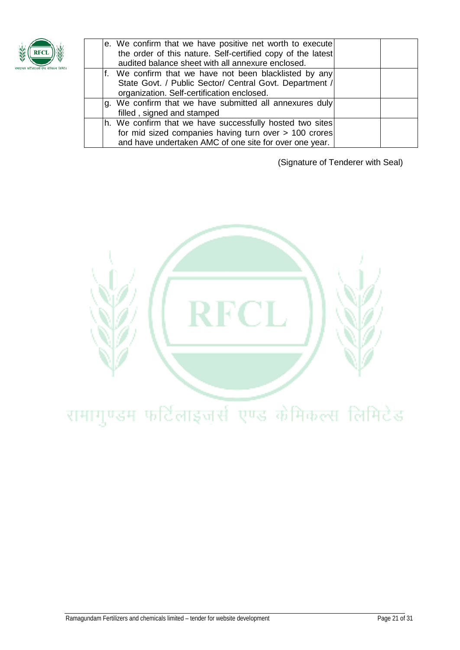

|  | e. We confirm that we have positive net worth to execute<br>the order of this nature. Self-certified copy of the latest<br>audited balance sheet with all annexure enclosed. |  |
|--|------------------------------------------------------------------------------------------------------------------------------------------------------------------------------|--|
|  | If. We confirm that we have not been blacklisted by any<br>State Govt. / Public Sector/ Central Govt. Department /<br>organization. Self-certification enclosed.             |  |
|  | g. We confirm that we have submitted all annexures duly<br>filled, signed and stamped                                                                                        |  |
|  | h. We confirm that we have successfully hosted two sites<br>for mid sized companies having turn over > 100 crores<br>and have undertaken AMC of one site for over one year.  |  |

(Signature of Tenderer with Seal)

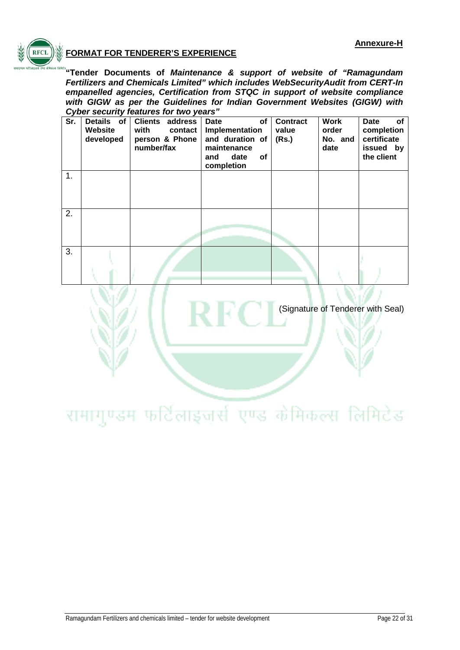

# **FORMAT FOR TENDERER'S EXPERIENCE**

**"Tender Documents of** *Maintenance & support of website of "Ramagundam Fertilizers and Chemicals Limited" which includes WebSecurityAudit from CERT-In empanelled agencies, Certification from STQC in support of website compliance with GIGW as per the Guidelines for Indian Government Websites (GIGW) with Cyber security features for two years"*

| Sr. | Details of<br>Website<br>developed | <b>Clients address</b><br>with<br>contact<br>person & Phone<br>number/fax | <b>Date</b><br>of<br>Implementation<br>and duration of<br>maintenance<br><b>of</b><br>date<br>and<br>completion | <b>Contract</b><br>value<br>(Rs.) | <b>Work</b><br>order<br>No. and<br>date | of<br><b>Date</b><br>completion<br>certificate<br>issued by<br>the client |
|-----|------------------------------------|---------------------------------------------------------------------------|-----------------------------------------------------------------------------------------------------------------|-----------------------------------|-----------------------------------------|---------------------------------------------------------------------------|
| 1.  |                                    |                                                                           |                                                                                                                 |                                   |                                         |                                                                           |
| 2.  |                                    |                                                                           |                                                                                                                 |                                   |                                         |                                                                           |
| 3.  |                                    |                                                                           |                                                                                                                 |                                   |                                         |                                                                           |

(Signature of Tenderer with Seal)

# रामागुण्डम फर्टिलाइजर्स एण्ड केमिकल्स लिमिटेड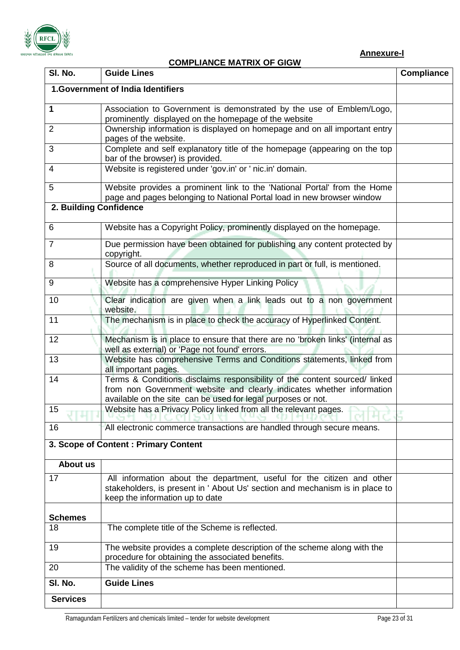

# **COMPLIANCE MATRIX OF GIGW**

| SI. No.                | <u>UMI LIANUL MATINA UT UIUM</u><br><b>Guide Lines</b>                                                                                                                                    | <b>Compliance</b> |
|------------------------|-------------------------------------------------------------------------------------------------------------------------------------------------------------------------------------------|-------------------|
|                        | 1. Government of India Identifiers                                                                                                                                                        |                   |
|                        |                                                                                                                                                                                           |                   |
| 1                      | Association to Government is demonstrated by the use of Emblem/Logo,<br>prominently displayed on the homepage of the website                                                              |                   |
| $\overline{2}$         | Ownership information is displayed on homepage and on all important entry                                                                                                                 |                   |
| 3                      | pages of the website.<br>Complete and self explanatory title of the homepage (appearing on the top                                                                                        |                   |
|                        | bar of the browser) is provided.                                                                                                                                                          |                   |
| 4                      | Website is registered under 'gov.in' or ' nic.in' domain.                                                                                                                                 |                   |
| 5                      | Website provides a prominent link to the 'National Portal' from the Home                                                                                                                  |                   |
|                        | page and pages belonging to National Portal load in new browser window                                                                                                                    |                   |
| 2. Building Confidence |                                                                                                                                                                                           |                   |
| 6                      | Website has a Copyright Policy, prominently displayed on the homepage.                                                                                                                    |                   |
| $\overline{7}$         | Due permission have been obtained for publishing any content protected by<br>copyright.                                                                                                   |                   |
| 8                      | Source of all documents, whether reproduced in part or full, is mentioned.                                                                                                                |                   |
| 9                      | Website has a comprehensive Hyper Linking Policy                                                                                                                                          |                   |
| 10                     | Clear indication are given when a link leads out to a non government<br>website.                                                                                                          |                   |
| 11                     | The mechanism is in place to check the accuracy of Hyperlinked Content.                                                                                                                   |                   |
| 12                     | Mechanism is in place to ensure that there are no 'broken links' (internal as<br>well as external) or 'Page not found' errors.                                                            |                   |
| 13                     | Website has comprehensive Terms and Conditions statements, linked from<br>all important pages.                                                                                            |                   |
| 14                     | Terms & Conditions disclaims responsibility of the content sourced/ linked                                                                                                                |                   |
|                        | from non Government website and clearly indicates whether information<br>available on the site can be used for legal purposes or not.                                                     |                   |
| 15                     | Website has a Privacy Policy linked from all the relevant pages.                                                                                                                          |                   |
| 16                     | All electronic commerce transactions are handled through secure means.                                                                                                                    |                   |
|                        | 3. Scope of Content: Primary Content                                                                                                                                                      |                   |
| <b>About us</b>        |                                                                                                                                                                                           |                   |
| 17                     | All information about the department, useful for the citizen and other<br>stakeholders, is present in ' About Us' section and mechanism is in place to<br>keep the information up to date |                   |
| <b>Schemes</b>         |                                                                                                                                                                                           |                   |
| 18                     | The complete title of the Scheme is reflected.                                                                                                                                            |                   |
| 19                     | The website provides a complete description of the scheme along with the<br>procedure for obtaining the associated benefits.                                                              |                   |
| 20                     | The validity of the scheme has been mentioned.                                                                                                                                            |                   |
| SI. No.                | <b>Guide Lines</b>                                                                                                                                                                        |                   |
| <b>Services</b>        |                                                                                                                                                                                           |                   |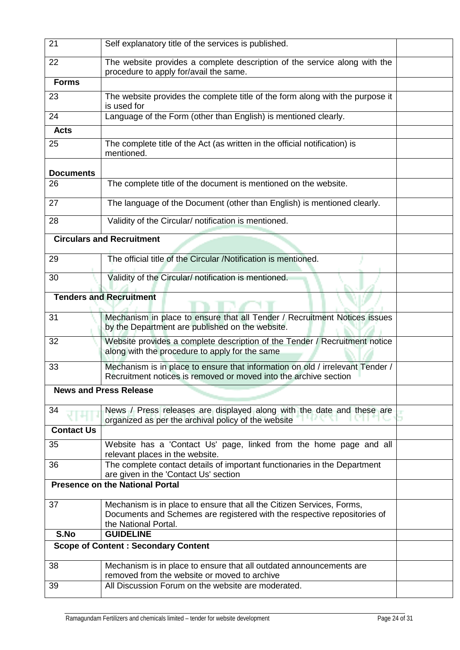| 22<br>The website provides a complete description of the service along with the<br>procedure to apply for/avail the same.<br><b>Forms</b><br>The website provides the complete title of the form along with the purpose it<br>23<br>is used for<br>Language of the Form (other than English) is mentioned clearly.<br>24<br><b>Acts</b><br>The complete title of the Act (as written in the official notification) is<br>25<br>mentioned.<br><b>Documents</b><br>26<br>The complete title of the document is mentioned on the website.<br>The language of the Document (other than English) is mentioned clearly.<br>27<br>Validity of the Circular/ notification is mentioned.<br>28<br><b>Circulars and Recruitment</b><br>The official title of the Circular /Notification is mentioned.<br>29<br>Validity of the Circular/ notification is mentioned.<br>30<br><b>Tenders and Recruitment</b><br>Mechanism in place to ensure that all Tender / Recruitment Notices issues<br>31<br>by the Department are published on the website.<br>Website provides a complete description of the Tender / Recruitment notice<br>32<br>along with the procedure to apply for the same<br>33<br>Mechanism is in place to ensure that information on old / irrelevant Tender /<br>Recruitment notices is removed or moved into the archive section<br><b>News and Press Release</b><br>34<br>News / Press releases are displayed along with the date and these are<br>organized as per the archival policy of the website<br><b>Contact Us</b><br>Website has a 'Contact Us' page, linked from the home page and all<br>35<br>relevant places in the website.<br>36<br>The complete contact details of important functionaries in the Department<br>are given in the 'Contact Us' section<br><b>Presence on the National Portal</b><br>Mechanism is in place to ensure that all the Citizen Services, Forms,<br>37<br>Documents and Schemes are registered with the respective repositories of<br>the National Portal.<br>S.No<br><b>GUIDELINE</b><br><b>Scope of Content: Secondary Content</b><br>38<br>Mechanism is in place to ensure that all outdated announcements are<br>removed from the website or moved to archive<br>39<br>All Discussion Forum on the website are moderated. | 21 | Self explanatory title of the services is published. |  |
|---------------------------------------------------------------------------------------------------------------------------------------------------------------------------------------------------------------------------------------------------------------------------------------------------------------------------------------------------------------------------------------------------------------------------------------------------------------------------------------------------------------------------------------------------------------------------------------------------------------------------------------------------------------------------------------------------------------------------------------------------------------------------------------------------------------------------------------------------------------------------------------------------------------------------------------------------------------------------------------------------------------------------------------------------------------------------------------------------------------------------------------------------------------------------------------------------------------------------------------------------------------------------------------------------------------------------------------------------------------------------------------------------------------------------------------------------------------------------------------------------------------------------------------------------------------------------------------------------------------------------------------------------------------------------------------------------------------------------------------------------------------------------------------------------------------------------------------------------------------------------------------------------------------------------------------------------------------------------------------------------------------------------------------------------------------------------------------------------------------------------------------------------------------------------------------------------------------------------------------------------------------------------------|----|------------------------------------------------------|--|
|                                                                                                                                                                                                                                                                                                                                                                                                                                                                                                                                                                                                                                                                                                                                                                                                                                                                                                                                                                                                                                                                                                                                                                                                                                                                                                                                                                                                                                                                                                                                                                                                                                                                                                                                                                                                                                                                                                                                                                                                                                                                                                                                                                                                                                                                                 |    |                                                      |  |
|                                                                                                                                                                                                                                                                                                                                                                                                                                                                                                                                                                                                                                                                                                                                                                                                                                                                                                                                                                                                                                                                                                                                                                                                                                                                                                                                                                                                                                                                                                                                                                                                                                                                                                                                                                                                                                                                                                                                                                                                                                                                                                                                                                                                                                                                                 |    |                                                      |  |
|                                                                                                                                                                                                                                                                                                                                                                                                                                                                                                                                                                                                                                                                                                                                                                                                                                                                                                                                                                                                                                                                                                                                                                                                                                                                                                                                                                                                                                                                                                                                                                                                                                                                                                                                                                                                                                                                                                                                                                                                                                                                                                                                                                                                                                                                                 |    |                                                      |  |
|                                                                                                                                                                                                                                                                                                                                                                                                                                                                                                                                                                                                                                                                                                                                                                                                                                                                                                                                                                                                                                                                                                                                                                                                                                                                                                                                                                                                                                                                                                                                                                                                                                                                                                                                                                                                                                                                                                                                                                                                                                                                                                                                                                                                                                                                                 |    |                                                      |  |
|                                                                                                                                                                                                                                                                                                                                                                                                                                                                                                                                                                                                                                                                                                                                                                                                                                                                                                                                                                                                                                                                                                                                                                                                                                                                                                                                                                                                                                                                                                                                                                                                                                                                                                                                                                                                                                                                                                                                                                                                                                                                                                                                                                                                                                                                                 |    |                                                      |  |
|                                                                                                                                                                                                                                                                                                                                                                                                                                                                                                                                                                                                                                                                                                                                                                                                                                                                                                                                                                                                                                                                                                                                                                                                                                                                                                                                                                                                                                                                                                                                                                                                                                                                                                                                                                                                                                                                                                                                                                                                                                                                                                                                                                                                                                                                                 |    |                                                      |  |
|                                                                                                                                                                                                                                                                                                                                                                                                                                                                                                                                                                                                                                                                                                                                                                                                                                                                                                                                                                                                                                                                                                                                                                                                                                                                                                                                                                                                                                                                                                                                                                                                                                                                                                                                                                                                                                                                                                                                                                                                                                                                                                                                                                                                                                                                                 |    |                                                      |  |
|                                                                                                                                                                                                                                                                                                                                                                                                                                                                                                                                                                                                                                                                                                                                                                                                                                                                                                                                                                                                                                                                                                                                                                                                                                                                                                                                                                                                                                                                                                                                                                                                                                                                                                                                                                                                                                                                                                                                                                                                                                                                                                                                                                                                                                                                                 |    |                                                      |  |
|                                                                                                                                                                                                                                                                                                                                                                                                                                                                                                                                                                                                                                                                                                                                                                                                                                                                                                                                                                                                                                                                                                                                                                                                                                                                                                                                                                                                                                                                                                                                                                                                                                                                                                                                                                                                                                                                                                                                                                                                                                                                                                                                                                                                                                                                                 |    |                                                      |  |
|                                                                                                                                                                                                                                                                                                                                                                                                                                                                                                                                                                                                                                                                                                                                                                                                                                                                                                                                                                                                                                                                                                                                                                                                                                                                                                                                                                                                                                                                                                                                                                                                                                                                                                                                                                                                                                                                                                                                                                                                                                                                                                                                                                                                                                                                                 |    |                                                      |  |
|                                                                                                                                                                                                                                                                                                                                                                                                                                                                                                                                                                                                                                                                                                                                                                                                                                                                                                                                                                                                                                                                                                                                                                                                                                                                                                                                                                                                                                                                                                                                                                                                                                                                                                                                                                                                                                                                                                                                                                                                                                                                                                                                                                                                                                                                                 |    |                                                      |  |
|                                                                                                                                                                                                                                                                                                                                                                                                                                                                                                                                                                                                                                                                                                                                                                                                                                                                                                                                                                                                                                                                                                                                                                                                                                                                                                                                                                                                                                                                                                                                                                                                                                                                                                                                                                                                                                                                                                                                                                                                                                                                                                                                                                                                                                                                                 |    |                                                      |  |
|                                                                                                                                                                                                                                                                                                                                                                                                                                                                                                                                                                                                                                                                                                                                                                                                                                                                                                                                                                                                                                                                                                                                                                                                                                                                                                                                                                                                                                                                                                                                                                                                                                                                                                                                                                                                                                                                                                                                                                                                                                                                                                                                                                                                                                                                                 |    |                                                      |  |
|                                                                                                                                                                                                                                                                                                                                                                                                                                                                                                                                                                                                                                                                                                                                                                                                                                                                                                                                                                                                                                                                                                                                                                                                                                                                                                                                                                                                                                                                                                                                                                                                                                                                                                                                                                                                                                                                                                                                                                                                                                                                                                                                                                                                                                                                                 |    |                                                      |  |
|                                                                                                                                                                                                                                                                                                                                                                                                                                                                                                                                                                                                                                                                                                                                                                                                                                                                                                                                                                                                                                                                                                                                                                                                                                                                                                                                                                                                                                                                                                                                                                                                                                                                                                                                                                                                                                                                                                                                                                                                                                                                                                                                                                                                                                                                                 |    |                                                      |  |
|                                                                                                                                                                                                                                                                                                                                                                                                                                                                                                                                                                                                                                                                                                                                                                                                                                                                                                                                                                                                                                                                                                                                                                                                                                                                                                                                                                                                                                                                                                                                                                                                                                                                                                                                                                                                                                                                                                                                                                                                                                                                                                                                                                                                                                                                                 |    |                                                      |  |
|                                                                                                                                                                                                                                                                                                                                                                                                                                                                                                                                                                                                                                                                                                                                                                                                                                                                                                                                                                                                                                                                                                                                                                                                                                                                                                                                                                                                                                                                                                                                                                                                                                                                                                                                                                                                                                                                                                                                                                                                                                                                                                                                                                                                                                                                                 |    |                                                      |  |
|                                                                                                                                                                                                                                                                                                                                                                                                                                                                                                                                                                                                                                                                                                                                                                                                                                                                                                                                                                                                                                                                                                                                                                                                                                                                                                                                                                                                                                                                                                                                                                                                                                                                                                                                                                                                                                                                                                                                                                                                                                                                                                                                                                                                                                                                                 |    |                                                      |  |
|                                                                                                                                                                                                                                                                                                                                                                                                                                                                                                                                                                                                                                                                                                                                                                                                                                                                                                                                                                                                                                                                                                                                                                                                                                                                                                                                                                                                                                                                                                                                                                                                                                                                                                                                                                                                                                                                                                                                                                                                                                                                                                                                                                                                                                                                                 |    |                                                      |  |
|                                                                                                                                                                                                                                                                                                                                                                                                                                                                                                                                                                                                                                                                                                                                                                                                                                                                                                                                                                                                                                                                                                                                                                                                                                                                                                                                                                                                                                                                                                                                                                                                                                                                                                                                                                                                                                                                                                                                                                                                                                                                                                                                                                                                                                                                                 |    |                                                      |  |
|                                                                                                                                                                                                                                                                                                                                                                                                                                                                                                                                                                                                                                                                                                                                                                                                                                                                                                                                                                                                                                                                                                                                                                                                                                                                                                                                                                                                                                                                                                                                                                                                                                                                                                                                                                                                                                                                                                                                                                                                                                                                                                                                                                                                                                                                                 |    |                                                      |  |
|                                                                                                                                                                                                                                                                                                                                                                                                                                                                                                                                                                                                                                                                                                                                                                                                                                                                                                                                                                                                                                                                                                                                                                                                                                                                                                                                                                                                                                                                                                                                                                                                                                                                                                                                                                                                                                                                                                                                                                                                                                                                                                                                                                                                                                                                                 |    |                                                      |  |
|                                                                                                                                                                                                                                                                                                                                                                                                                                                                                                                                                                                                                                                                                                                                                                                                                                                                                                                                                                                                                                                                                                                                                                                                                                                                                                                                                                                                                                                                                                                                                                                                                                                                                                                                                                                                                                                                                                                                                                                                                                                                                                                                                                                                                                                                                 |    |                                                      |  |
|                                                                                                                                                                                                                                                                                                                                                                                                                                                                                                                                                                                                                                                                                                                                                                                                                                                                                                                                                                                                                                                                                                                                                                                                                                                                                                                                                                                                                                                                                                                                                                                                                                                                                                                                                                                                                                                                                                                                                                                                                                                                                                                                                                                                                                                                                 |    |                                                      |  |
|                                                                                                                                                                                                                                                                                                                                                                                                                                                                                                                                                                                                                                                                                                                                                                                                                                                                                                                                                                                                                                                                                                                                                                                                                                                                                                                                                                                                                                                                                                                                                                                                                                                                                                                                                                                                                                                                                                                                                                                                                                                                                                                                                                                                                                                                                 |    |                                                      |  |
|                                                                                                                                                                                                                                                                                                                                                                                                                                                                                                                                                                                                                                                                                                                                                                                                                                                                                                                                                                                                                                                                                                                                                                                                                                                                                                                                                                                                                                                                                                                                                                                                                                                                                                                                                                                                                                                                                                                                                                                                                                                                                                                                                                                                                                                                                 |    |                                                      |  |
|                                                                                                                                                                                                                                                                                                                                                                                                                                                                                                                                                                                                                                                                                                                                                                                                                                                                                                                                                                                                                                                                                                                                                                                                                                                                                                                                                                                                                                                                                                                                                                                                                                                                                                                                                                                                                                                                                                                                                                                                                                                                                                                                                                                                                                                                                 |    |                                                      |  |
|                                                                                                                                                                                                                                                                                                                                                                                                                                                                                                                                                                                                                                                                                                                                                                                                                                                                                                                                                                                                                                                                                                                                                                                                                                                                                                                                                                                                                                                                                                                                                                                                                                                                                                                                                                                                                                                                                                                                                                                                                                                                                                                                                                                                                                                                                 |    |                                                      |  |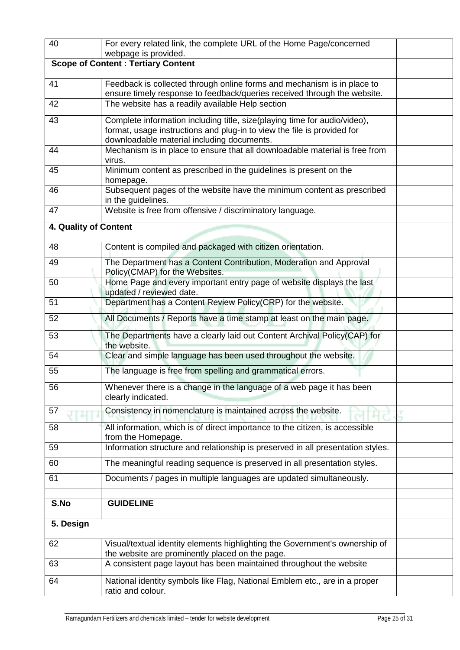| 40                    | For every related link, the complete URL of the Home Page/concerned                                |  |
|-----------------------|----------------------------------------------------------------------------------------------------|--|
|                       | webpage is provided.                                                                               |  |
|                       | <b>Scope of Content: Tertiary Content</b>                                                          |  |
| 41                    | Feedback is collected through online forms and mechanism is in place to                            |  |
|                       | ensure timely response to feedback/queries received through the website.                           |  |
| 42                    | The website has a readily available Help section                                                   |  |
| 43                    | Complete information including title, size(playing time for audio/video),                          |  |
|                       | format, usage instructions and plug-in to view the file is provided for                            |  |
|                       | downloadable material including documents.                                                         |  |
| 44                    | Mechanism is in place to ensure that all downloadable material is free from<br>virus.              |  |
| 45                    | Minimum content as prescribed in the guidelines is present on the                                  |  |
|                       | homepage.                                                                                          |  |
| 46                    | Subsequent pages of the website have the minimum content as prescribed                             |  |
| 47                    | in the guidelines.<br>Website is free from offensive / discriminatory language.                    |  |
|                       |                                                                                                    |  |
| 4. Quality of Content |                                                                                                    |  |
| 48                    | Content is compiled and packaged with citizen orientation.                                         |  |
| 49                    | The Department has a Content Contribution, Moderation and Approval                                 |  |
|                       | Policy(CMAP) for the Websites.                                                                     |  |
| 50                    | Home Page and every important entry page of website displays the last                              |  |
|                       | updated / reviewed date.                                                                           |  |
| 51                    | Department has a Content Review Policy(CRP) for the website.                                       |  |
| 52                    | All Documents / Reports have a time stamp at least on the main page.                               |  |
| 53                    | The Departments have a clearly laid out Content Archival Policy(CAP) for<br>the website.           |  |
| 54                    | Clear and simple language has been used throughout the website.                                    |  |
| 55                    | The language is free from spelling and grammatical errors.                                         |  |
| 56                    | Whenever there is a change in the language of a web page it has been                               |  |
|                       | clearly indicated.                                                                                 |  |
| 57                    | Consistency in nomenclature is maintained across the website.                                      |  |
| 58                    | All information, which is of direct importance to the citizen, is accessible<br>from the Homepage. |  |
| 59                    | Information structure and relationship is preserved in all presentation styles.                    |  |
| 60                    | The meaningful reading sequence is preserved in all presentation styles.                           |  |
| 61                    | Documents / pages in multiple languages are updated simultaneously.                                |  |
|                       |                                                                                                    |  |
| S.No                  | <b>GUIDELINE</b>                                                                                   |  |
| 5. Design             |                                                                                                    |  |
| 62                    | Visual/textual identity elements highlighting the Government's ownership of                        |  |
|                       | the website are prominently placed on the page.                                                    |  |
| 63                    | A consistent page layout has been maintained throughout the website                                |  |
| 64                    | National identity symbols like Flag, National Emblem etc., are in a proper                         |  |
|                       | ratio and colour.                                                                                  |  |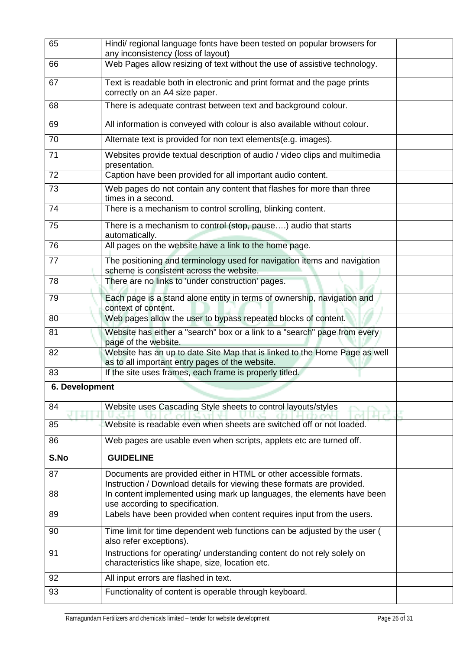| 65             | Hindi/ regional language fonts have been tested on popular browsers for<br>any inconsistency (loss of layout)                                |  |
|----------------|----------------------------------------------------------------------------------------------------------------------------------------------|--|
| 66             | Web Pages allow resizing of text without the use of assistive technology.                                                                    |  |
| 67             | Text is readable both in electronic and print format and the page prints<br>correctly on an A4 size paper.                                   |  |
| 68             | There is adequate contrast between text and background colour.                                                                               |  |
| 69             | All information is conveyed with colour is also available without colour.                                                                    |  |
| 70             | Alternate text is provided for non text elements(e.g. images).                                                                               |  |
| 71             | Websites provide textual description of audio / video clips and multimedia<br>presentation.                                                  |  |
| 72             | Caption have been provided for all important audio content.                                                                                  |  |
| 73             | Web pages do not contain any content that flashes for more than three<br>times in a second.                                                  |  |
| 74             | There is a mechanism to control scrolling, blinking content.                                                                                 |  |
| 75             | There is a mechanism to control (stop, pause) audio that starts<br>automatically.                                                            |  |
| 76             | All pages on the website have a link to the home page.                                                                                       |  |
| 77             | The positioning and terminology used for navigation items and navigation<br>scheme is consistent across the website.                         |  |
| 78             | There are no links to 'under construction' pages.                                                                                            |  |
| 79             | Each page is a stand alone entity in terms of ownership, navigation and<br>context of content.                                               |  |
| 80             | Web pages allow the user to bypass repeated blocks of content.                                                                               |  |
| 81             | Website has either a "search" box or a link to a "search" page from every<br>page of the website.                                            |  |
| 82             | Website has an up to date Site Map that is linked to the Home Page as well<br>as to all important entry pages of the website.                |  |
| 83             | If the site uses frames, each frame is properly titled.                                                                                      |  |
| 6. Development |                                                                                                                                              |  |
| 84             | Website uses Cascading Style sheets to control layouts/styles                                                                                |  |
| 85             | Website is readable even when sheets are switched off or not loaded.                                                                         |  |
| 86             | Web pages are usable even when scripts, applets etc are turned off.                                                                          |  |
| S.No           | <b>GUIDELINE</b>                                                                                                                             |  |
| 87             | Documents are provided either in HTML or other accessible formats.<br>Instruction / Download details for viewing these formats are provided. |  |
| 88             | In content implemented using mark up languages, the elements have been<br>use according to specification.                                    |  |
| 89             | Labels have been provided when content requires input from the users.                                                                        |  |
| 90             | Time limit for time dependent web functions can be adjusted by the user (<br>also refer exceptions).                                         |  |
| 91             | Instructions for operating/ understanding content do not rely solely on<br>characteristics like shape, size, location etc.                   |  |
| 92             | All input errors are flashed in text.                                                                                                        |  |
| 93             | Functionality of content is operable through keyboard.                                                                                       |  |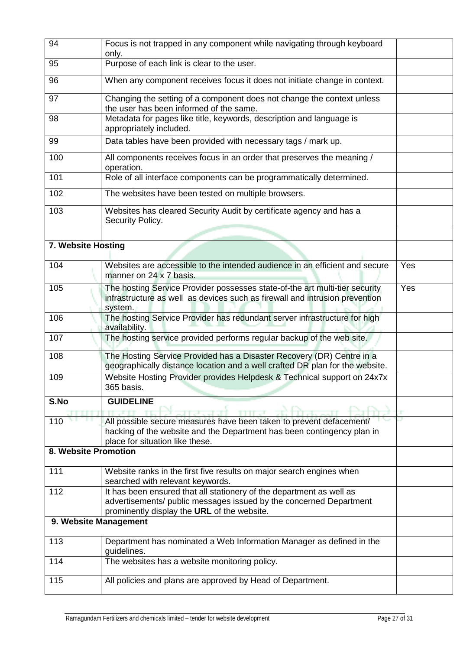| 94                    | Focus is not trapped in any component while navigating through keyboard<br>only.                                                                                      |     |  |  |  |  |  |
|-----------------------|-----------------------------------------------------------------------------------------------------------------------------------------------------------------------|-----|--|--|--|--|--|
| 95                    | Purpose of each link is clear to the user.                                                                                                                            |     |  |  |  |  |  |
| 96                    | When any component receives focus it does not initiate change in context.                                                                                             |     |  |  |  |  |  |
| 97                    | Changing the setting of a component does not change the context unless<br>the user has been informed of the same.                                                     |     |  |  |  |  |  |
| 98                    | Metadata for pages like title, keywords, description and language is<br>appropriately included.                                                                       |     |  |  |  |  |  |
| 99                    | Data tables have been provided with necessary tags / mark up.                                                                                                         |     |  |  |  |  |  |
| 100                   | All components receives focus in an order that preserves the meaning /<br>operation.                                                                                  |     |  |  |  |  |  |
| 101                   | Role of all interface components can be programmatically determined.                                                                                                  |     |  |  |  |  |  |
| 102                   | The websites have been tested on multiple browsers.                                                                                                                   |     |  |  |  |  |  |
| 103                   | Websites has cleared Security Audit by certificate agency and has a<br>Security Policy.                                                                               |     |  |  |  |  |  |
|                       |                                                                                                                                                                       |     |  |  |  |  |  |
| 7. Website Hosting    |                                                                                                                                                                       |     |  |  |  |  |  |
| 104                   | Websites are accessible to the intended audience in an efficient and secure<br>manner on 24 x 7 basis.                                                                | Yes |  |  |  |  |  |
| 105                   | The hosting Service Provider possesses state-of-the art multi-tier security<br>infrastructure as well as devices such as firewall and intrusion prevention<br>system. | Yes |  |  |  |  |  |
| 106                   | The hosting Service Provider has redundant server infrastructure for high<br>availability.                                                                            |     |  |  |  |  |  |
| 107                   | The hosting service provided performs regular backup of the web site.                                                                                                 |     |  |  |  |  |  |
| 108                   | The Hosting Service Provided has a Disaster Recovery (DR) Centre in a<br>geographically distance location and a well crafted DR plan for the website.                 |     |  |  |  |  |  |
| 109                   | Website Hosting Provider provides Helpdesk & Technical support on 24x7x<br>365 basis.                                                                                 |     |  |  |  |  |  |
| S.No                  | <b>GUIDELINE</b>                                                                                                                                                      |     |  |  |  |  |  |
| 110                   | All possible secure measures have been taken to prevent defacement/                                                                                                   |     |  |  |  |  |  |
|                       | hacking of the website and the Department has been contingency plan in<br>place for situation like these.                                                             |     |  |  |  |  |  |
| 8. Website Promotion  |                                                                                                                                                                       |     |  |  |  |  |  |
| 111                   | Website ranks in the first five results on major search engines when                                                                                                  |     |  |  |  |  |  |
|                       | searched with relevant keywords.                                                                                                                                      |     |  |  |  |  |  |
| 112                   | It has been ensured that all stationery of the department as well as<br>advertisements/ public messages issued by the concerned Department                            |     |  |  |  |  |  |
| 9. Website Management | prominently display the URL of the website.                                                                                                                           |     |  |  |  |  |  |
| 113                   | Department has nominated a Web Information Manager as defined in the                                                                                                  |     |  |  |  |  |  |
|                       | guidelines.                                                                                                                                                           |     |  |  |  |  |  |
| 114                   | The websites has a website monitoring policy.                                                                                                                         |     |  |  |  |  |  |
| 115                   | All policies and plans are approved by Head of Department.                                                                                                            |     |  |  |  |  |  |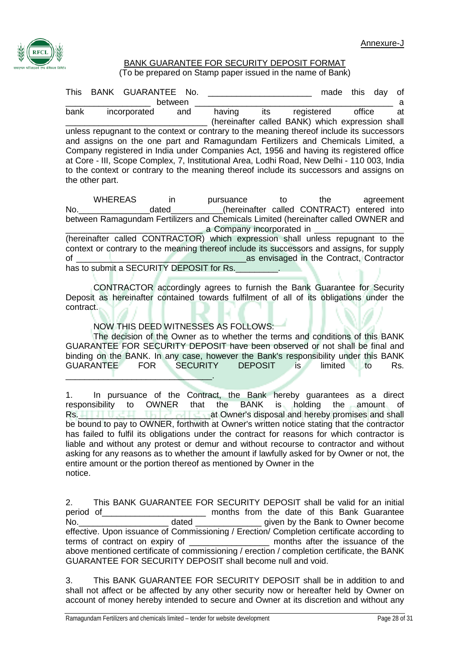

## BANK GUARANTEE FOR SECURITY DEPOSIT FORMAT

(To be prepared on Stamp paper issued in the name of Bank)

| This                                                                                                                                                                                                                                                                                                                                                                                                                                                                                                                                    |  | BANK GUARANTEE No. |         |     |        |     |            | made | this   | dav | οf |
|-----------------------------------------------------------------------------------------------------------------------------------------------------------------------------------------------------------------------------------------------------------------------------------------------------------------------------------------------------------------------------------------------------------------------------------------------------------------------------------------------------------------------------------------|--|--------------------|---------|-----|--------|-----|------------|------|--------|-----|----|
|                                                                                                                                                                                                                                                                                                                                                                                                                                                                                                                                         |  |                    | between |     |        |     |            |      |        |     | a  |
| bank                                                                                                                                                                                                                                                                                                                                                                                                                                                                                                                                    |  | incorporated       |         | and | having | its | registered |      | office |     | at |
|                                                                                                                                                                                                                                                                                                                                                                                                                                                                                                                                         |  |                    |         |     |        |     |            |      |        |     |    |
| (hereinafter called BANK) which expression shall<br>unless repugnant to the context or contrary to the meaning thereof include its successors<br>and assigns on the one part and Ramagundam Fertilizers and Chemicals Limited, a<br>Company registered in India under Companies Act, 1956 and having its registered office<br>at Core - III, Scope Complex, 7, Institutional Area, Lodhi Road, New Delhi - 110 003, India<br>to the context or contrary to the meaning thereof include its successors and assigns on<br>the other part. |  |                    |         |     |        |     |            |      |        |     |    |

WHEREAS in pursuance to the agreement No. example that dated the equation of the equation (hereinafter called CONTRACT) entered into between Ramagundam Fertilizers and Chemicals Limited (hereinafter called OWNER and<br>a Company incorporated in \_\_\_\_\_\_\_\_\_\_\_\_\_\_\_\_\_\_\_\_\_\_\_\_\_\_\_\_\_ a Company incorporated in \_\_\_\_\_\_\_\_\_\_\_\_\_\_\_\_\_\_\_ (hereinafter called CONTRACTOR) which expression shall unless repugnant to the context or contrary to the meaning thereof include its successors and assigns, for supply of the contract of the Contract of the Contract Contractor

has to submit a SECURITY DEPOSIT for Rs.

CONTRACTOR accordingly agrees to furnish the Bank Guarantee for Security Deposit as hereinafter contained towards fulfilment of all of its obligations under the contract.

NOW THIS DEED WITNESSES AS FOLLOWS:

The decision of the Owner as to whether the terms and conditions of this BANK GUARANTEE FOR SECURITY DEPOSIT have been observed or not shall be final and binding on the BANK. In any case, however the Bank's responsibility under this BANK GUARANTEE FOR SECURITY DEPOSIT is limited to Rs. \_\_\_\_\_\_\_\_\_\_\_\_\_\_\_\_\_\_\_\_\_\_\_\_\_\_\_\_\_\_\_.

1. In pursuance of the Contract, the Bank hereby guarantees as a direct responsibility to OWNER that the BANK is holding the amount of responsibility to OWNER that the BANK is holding the amount of Rs.\_\_\_\_\_\_\_\_\_\_\_\_\_\_\_\_\_\_\_\_\_\_\_\_\_\_\_\_at Owner's disposal and hereby promises and shall be bound to pay to OWNER, forthwith at Owner's written notice stating that the contractor has failed to fulfil its obligations under the contract for reasons for which contractor is liable and without any protest or demur and without recourse to contractor and without asking for any reasons as to whether the amount if lawfully asked for by Owner or not, the entire amount or the portion thereof as mentioned by Owner in the notice.

2. This BANK GUARANTEE FOR SECURITY DEPOSIT shall be valid for an initial period of **EXECUC EXECUCITS** months from the date of this Bank Guarantee No. the same dated the same value of the Bank to Owner become effective. Upon issuance of Commissioning / Erection/ Completion certificate according to terms of contract on expiry of \_\_\_\_\_\_\_\_\_\_\_\_\_\_\_\_\_\_\_\_\_\_\_\_\_ months after the issuance of the terms of contract on expiry of \_\_\_\_\_\_\_\_\_\_\_\_\_\_\_\_\_\_\_ months after the issuance of the above mentioned certificate of commissioning / erection / completion certificate, the BANK GUARANTEE FOR SECURITY DEPOSIT shall become null and void.

3. This BANK GUARANTEE FOR SECURITY DEPOSIT shall be in addition to and shall not affect or be affected by any other security now or hereafter held by Owner on account of money hereby intended to secure and Owner at its discretion and without any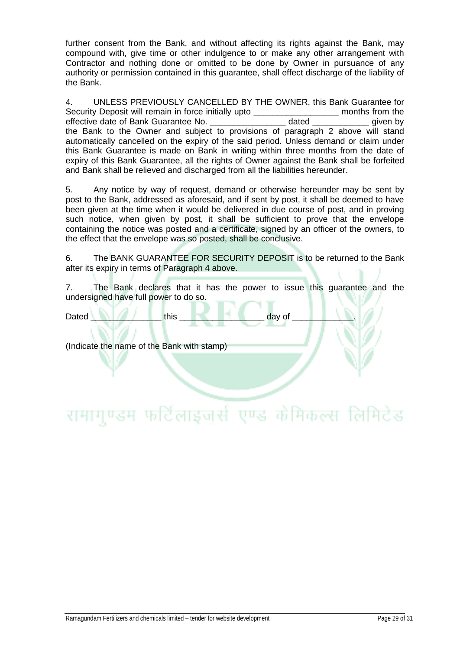further consent from the Bank, and without affecting its rights against the Bank, may compound with, give time or other indulgence to or make any other arrangement with Contractor and nothing done or omitted to be done by Owner in pursuance of any authority or permission contained in this guarantee, shall effect discharge of the liability of the Bank.

4. UNLESS PREVIOUSLY CANCELLED BY THE OWNER, this Bank Guarantee for Security Deposit will remain in force initially upto \_\_\_\_\_\_\_\_\_\_\_\_\_\_\_\_\_\_\_\_\_\_\_ months from the effective date of Bank Guarantee No. effective date of Bank Guarantee No. **Example 20 and a dated** and by dated a set of Bank Guarantee No. the Bank to the Owner and subject to provisions of paragraph 2 above will stand automatically cancelled on the expiry of the said period. Unless demand or claim under this Bank Guarantee is made on Bank in writing within three months from the date of expiry of this Bank Guarantee, all the rights of Owner against the Bank shall be forfeited and Bank shall be relieved and discharged from all the liabilities hereunder.

5. Any notice by way of request, demand or otherwise hereunder may be sent by post to the Bank, addressed as aforesaid, and if sent by post, it shall be deemed to have been given at the time when it would be delivered in due course of post, and in proving such notice, when given by post, it shall be sufficient to prove that the envelope containing the notice was posted and a certificate, signed by an officer of the owners, to the effect that the envelope was so posted, shall be conclusive.

6. The BANK GUARANTEE FOR SECURITY DEPOSIT is to be returned to the Bank after its expiry in terms of Paragraph 4 above.

7. The Bank declares that it has the power to issue this guarantee and the undersigned have full power to do so.

Dated \_\_\_\_\_\_\_\_\_\_\_\_\_\_\_ this \_\_\_\_\_\_\_\_\_\_\_\_\_\_\_\_\_\_ day of \_\_\_\_\_\_\_\_\_\_\_\_\_.

(Indicate the name of the Bank with stamp)

# रामागुण्डम फर्टिलाइजर्स एण्ड केमिकल्स लिमिटेड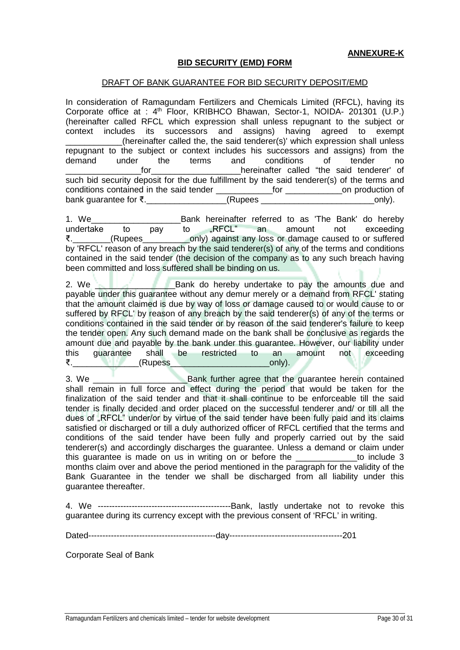#### **BID SECURITY (EMD) FORM**

#### DRAFT OF BANK GUARANTEE FOR BID SECURITY DEPOSIT/EMD

In consideration of Ramagundam Fertilizers and Chemicals Limited (RFCL), having its Corporate office at : 4th Floor, KRIBHCO Bhawan, Sector-1, NOIDA- 201301 (U.P.) (hereinafter called RFCL which expression shall unless repugnant to the subject or context includes its successors and assigns) having agreed to exempt (hereinafter called the, the said tenderer(s)' which expression shall unless repugnant to the subject or context includes his successors and assigns) from the demand under the terms and conditions of tender no \_\_\_\_\_\_\_\_\_\_\_\_\_\_\_\_for\_\_\_\_\_\_\_\_\_\_\_\_\_\_\_\_\_\_\_hereinafter called "the said tenderer' of such bid security deposit for the due fulfillment by the said tenderer(s) of the terms and conditions contained in the said tender \_\_\_\_\_\_\_\_\_\_\_\_for \_\_\_\_\_\_\_\_\_\_\_\_on production of  $b$ ank quarantee for ₹.

1. We\_\_\_\_\_\_\_\_\_\_\_\_\_\_\_\_\_\_\_Bank hereinafter referred to as 'The Bank' do hereby undertake to pay to "RFCL" an amount not exceeding ₹.\_\_\_\_\_\_\_\_(Rupees\_\_\_\_\_\_\_\_\_\_only) against any loss or damage caused to or suffered by 'RFCL' reason of any breach by the said tenderer(s) of any of the terms and conditions contained in the said tender (the decision of the company as to any such breach having been committed and loss suffered shall be binding on us.

2. We all the Bank do hereby undertake to pay the amounts due and payable under this guarantee without any demur merely or a demand from RFCL' stating that the amount claimed is due by way of loss or damage caused to or would cause to or suffered by RFCL' by reason of any breach by the said tenderer(s) of any of the terms or conditions contained in the said tender or by reason of the said tenderer's failure to keep the tender open. Any such demand made on the bank shall be conclusive as regards the amount due and payable by the bank under this guarantee. However, our liability under this guarantee shall be restricted to an amount not exceeding ₹.  $\blacksquare$  (Rupess  $\blacksquare$  and  $\blacksquare$  and  $\blacksquare$ 

3. We \_\_\_\_\_\_\_\_\_\_\_\_\_\_\_\_\_\_\_\_Bank further agree that the guarantee herein contained shall remain in full force and effect during the period that would be taken for the finalization of the said tender and that it shall continue to be enforceable till the said tender is finally decided and order placed on the successful tenderer and/ or till all the dues of "RFCL" under/or by virtue of the said tender have been fully paid and its claims satisfied or discharged or till a duly authorized officer of RFCL certified that the terms and conditions of the said tender have been fully and properly carried out by the said tenderer(s) and accordingly discharges the guarantee. Unless a demand or claim under this guarantee is made on us in writing on or before the the to include 3 months claim over and above the period mentioned in the paragraph for the validity of the Bank Guarantee in the tender we shall be discharged from all liability under this guarantee thereafter.

4. We -----------------------------------------------Bank, lastly undertake not to revoke this guarantee during its currency except with the previous consent of 'RFCL' in writing.

Dated---------------------------------------------day----------------------------------------201

Corporate Seal of Bank